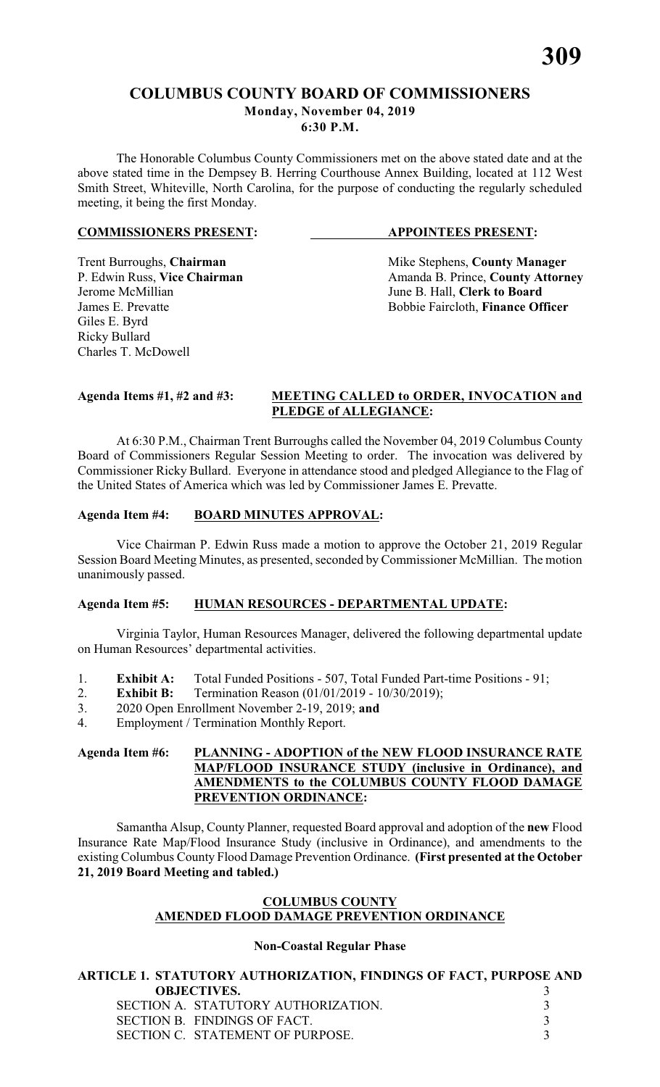# **COLUMBUS COUNTY BOARD OF COMMISSIONERS Monday, November 04, 2019 6:30 P.M.**

The Honorable Columbus County Commissioners met on the above stated date and at the above stated time in the Dempsey B. Herring Courthouse Annex Building, located at 112 West Smith Street, Whiteville, North Carolina, for the purpose of conducting the regularly scheduled meeting, it being the first Monday.

#### **COMMISSIONERS PRESENT: APPOINTEES PRESENT:**

Jerome McMillian June B. Hall, **Clerk to Board** Giles E. Byrd Ricky Bullard Charles T. McDowell

Trent Burroughs, **Chairman** Mike Stephens, **County Manager** P. Edwin Russ, Vice Chairman Manager Amanda B. Prince, **County Attorn** P. Edwin Russ, **Vice Chairman** Amanda B. Prince, **County Attorney**<br>Jerome McMillian June B. Hall, **Clerk to Board** Bobbie Faircloth, **Finance Officer** 

#### **Agenda Items #1, #2 and #3: MEETING CALLED to ORDER, INVOCATION and PLEDGE of ALLEGIANCE:**

At 6:30 P.M., Chairman Trent Burroughs called the November 04, 2019 Columbus County Board of Commissioners Regular Session Meeting to order. The invocation was delivered by Commissioner Ricky Bullard. Everyone in attendance stood and pledged Allegiance to the Flag of the United States of America which was led by Commissioner James E. Prevatte.

# **Agenda Item #4: BOARD MINUTES APPROVAL:**

Vice Chairman P. Edwin Russ made a motion to approve the October 21, 2019 Regular Session Board Meeting Minutes, as presented, seconded by Commissioner McMillian. The motion unanimously passed.

#### **Agenda Item #5: HUMAN RESOURCES - DEPARTMENTAL UPDATE:**

Virginia Taylor, Human Resources Manager, delivered the following departmental update on Human Resources' departmental activities.

- 1. **Exhibit A:** Total Funded Positions 507, Total Funded Part-time Positions 91;<br>2. **Exhibit B:** Termination Reason (01/01/2019 10/30/2019):
- 2. **Exhibit B:** Termination Reason (01/01/2019 10/30/2019);
- 3. 2020 Open Enrollment November 2-19, 2019; **and**
- 4. Employment / Termination Monthly Report.

### **Agenda Item #6: PLANNING - ADOPTION of the NEW FLOOD INSURANCE RATE MAP/FLOOD INSURANCE STUDY (inclusive in Ordinance), and AMENDMENTS to the COLUMBUS COUNTY FLOOD DAMAGE PREVENTION ORDINANCE:**

Samantha Alsup, County Planner, requested Board approval and adoption of the **new** Flood Insurance Rate Map/Flood Insurance Study (inclusive in Ordinance), and amendments to the existing Columbus County Flood Damage Prevention Ordinance. **(First presented at the October 21, 2019 Board Meeting and tabled.)**

# **COLUMBUS COUNTY AMENDED FLOOD DAMAGE PREVENTION ORDINANCE**

# **Non-Coastal Regular Phase**

**ARTICLE 1. STATUTORY AUTHORIZATION, FINDINGS OF FACT, PURPOSE AND OBJECTIVES.** 3 SECTION A. STATUTORY AUTHORIZATION. 3<br>SECTION B. FINDINGS OF FACT. 3 SECTION B. FINDINGS OF FACT.<br>SECTION C. STATEMENT OF PURPOSE. 3 SECTION C. STATEMENT OF PURPOSE.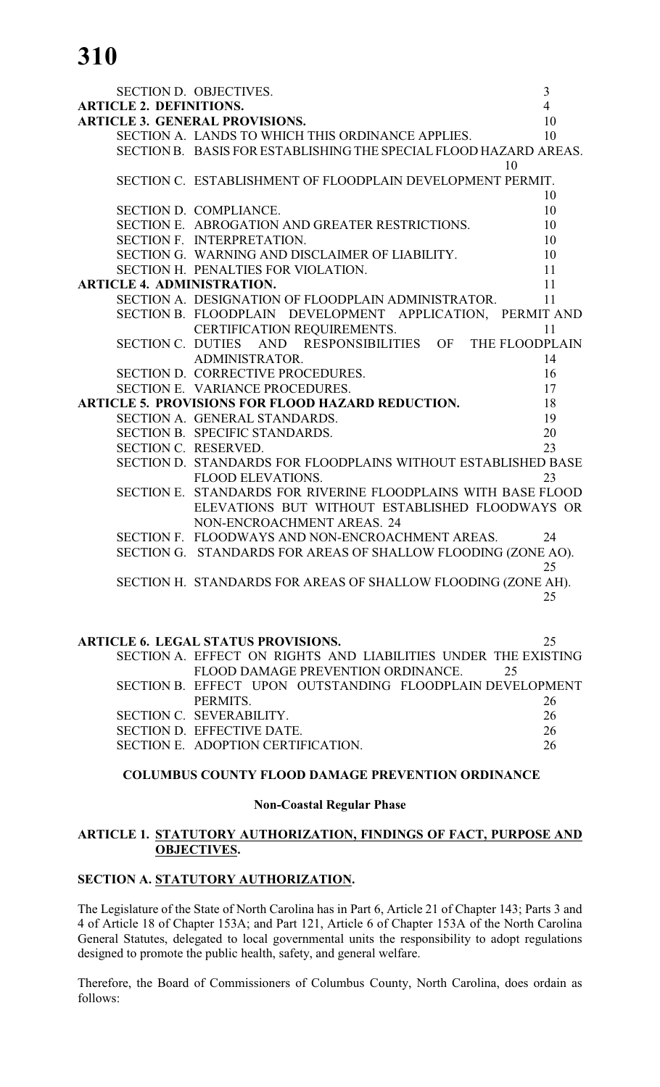**310**

|                                   | SECTION D. OBJECTIVES.                                            | $\mathfrak{Z}$ |
|-----------------------------------|-------------------------------------------------------------------|----------------|
| <b>ARTICLE 2. DEFINITIONS.</b>    |                                                                   | $\overline{4}$ |
|                                   | <b>ARTICLE 3. GENERAL PROVISIONS.</b>                             | 10             |
|                                   | SECTION A. LANDS TO WHICH THIS ORDINANCE APPLIES.                 | 10             |
|                                   | SECTION B. BASIS FOR ESTABLISHING THE SPECIAL FLOOD HAZARD AREAS. |                |
|                                   | 10                                                                |                |
|                                   | SECTION C. ESTABLISHMENT OF FLOODPLAIN DEVELOPMENT PERMIT.        |                |
|                                   |                                                                   | 10             |
|                                   | SECTION D. COMPLIANCE.                                            | 10             |
|                                   | SECTION E. ABROGATION AND GREATER RESTRICTIONS.                   | 10             |
|                                   | SECTION F. INTERPRETATION.                                        | 10             |
|                                   | SECTION G. WARNING AND DISCLAIMER OF LIABILITY.                   | 10             |
|                                   | SECTION H. PENALTIES FOR VIOLATION.                               | 11             |
| <b>ARTICLE 4. ADMINISTRATION.</b> |                                                                   | 11             |
|                                   | SECTION A. DESIGNATION OF FLOODPLAIN ADMINISTRATOR.               | 11             |
|                                   | SECTION B. FLOODPLAIN DEVELOPMENT APPLICATION, PERMIT AND         |                |
|                                   | CERTIFICATION REQUIREMENTS.                                       | 11             |
|                                   | SECTION C. DUTIES AND RESPONSIBILITIES OF<br>THE FLOODPLAIN       |                |
|                                   | ADMINISTRATOR.                                                    | 14             |
|                                   | SECTION D. CORRECTIVE PROCEDURES.                                 | 16             |
|                                   | SECTION E. VARIANCE PROCEDURES.                                   | 17             |
|                                   | <b>ARTICLE 5. PROVISIONS FOR FLOOD HAZARD REDUCTION.</b>          | 18             |
|                                   | SECTION A. GENERAL STANDARDS.                                     | 19             |
|                                   | SECTION B. SPECIFIC STANDARDS.                                    | 20             |
|                                   | SECTION C. RESERVED.                                              | 23             |
|                                   | SECTION D. STANDARDS FOR FLOODPLAINS WITHOUT ESTABLISHED BASE     |                |
|                                   | FLOOD ELEVATIONS.                                                 | 23             |
|                                   | SECTION E. STANDARDS FOR RIVERINE FLOODPLAINS WITH BASE FLOOD     |                |
|                                   | ELEVATIONS BUT WITHOUT ESTABLISHED FLOODWAYS OR                   |                |
|                                   | NON-ENCROACHMENT AREAS. 24                                        |                |
|                                   | SECTION F. FLOODWAYS AND NON-ENCROACHMENT AREAS.                  | 24             |
|                                   | SECTION G. STANDARDS FOR AREAS OF SHALLOW FLOODING (ZONE AO).     |                |
|                                   |                                                                   | 25             |
|                                   | SECTION H. STANDARDS FOR AREAS OF SHALLOW FLOODING (ZONE AH).     |                |
|                                   |                                                                   | 25             |
|                                   |                                                                   |                |
|                                   |                                                                   |                |

| <b>ARTICLE 6. LEGAL STATUS PROVISIONS.</b>                     | 25 |
|----------------------------------------------------------------|----|
| SECTION A. EFFECT ON RIGHTS AND LIABILITIES UNDER THE EXISTING |    |
| FLOOD DAMAGE PREVENTION ORDINANCE.                             | 25 |
| SECTION B. EFFECT UPON OUTSTANDING FLOODPLAIN DEVELOPMENT      |    |
| <b>PERMITS</b>                                                 | 26 |
| SECTION C. SEVERABILITY.                                       | 26 |
| SECTION D. EFFECTIVE DATE.                                     | 26 |
| SECTION E. ADOPTION CERTIFICATION.                             | 26 |
|                                                                |    |

#### **COLUMBUS COUNTY FLOOD DAMAGE PREVENTION ORDINANCE**

#### **Non-Coastal Regular Phase**

#### **ARTICLE 1. STATUTORY AUTHORIZATION, FINDINGS OF FACT, PURPOSE AND OBJECTIVES.**

# **SECTION A. STATUTORY AUTHORIZATION.**

The Legislature of the State of North Carolina has in Part 6, Article 21 of Chapter 143; Parts 3 and 4 of Article 18 of Chapter 153A; and Part 121, Article 6 of Chapter 153A of the North Carolina General Statutes, delegated to local governmental units the responsibility to adopt regulations designed to promote the public health, safety, and general welfare.

Therefore, the Board of Commissioners of Columbus County, North Carolina, does ordain as follows: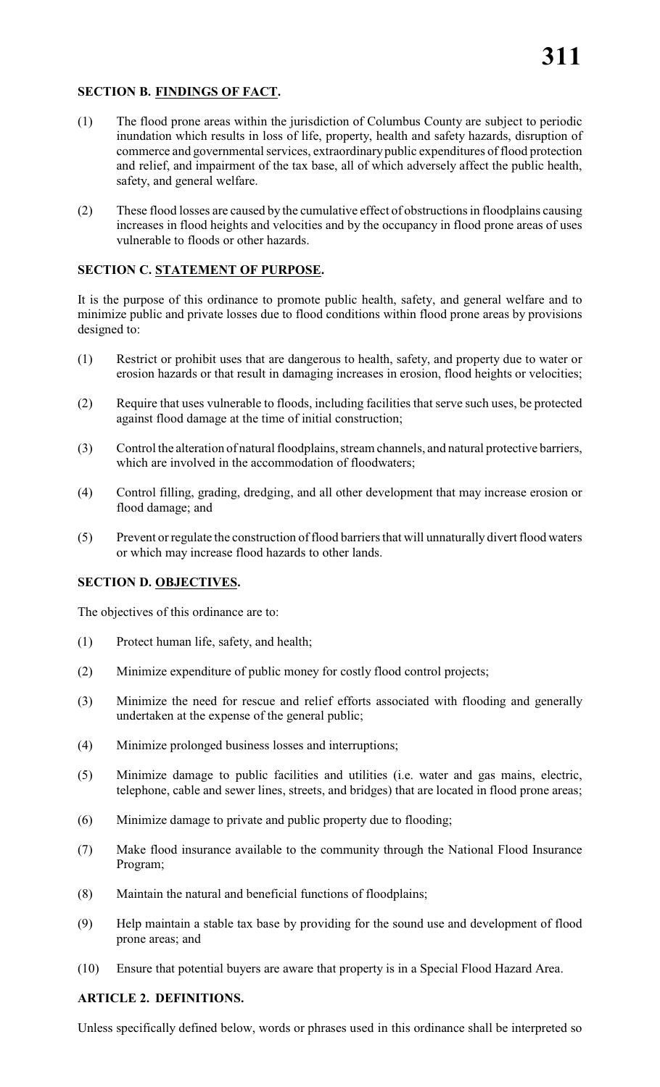# **SECTION B. FINDINGS OF FACT.**

- (1) The flood prone areas within the jurisdiction of Columbus County are subject to periodic inundation which results in loss of life, property, health and safety hazards, disruption of commerce and governmental services, extraordinary public expenditures of flood protection and relief, and impairment of the tax base, all of which adversely affect the public health, safety, and general welfare.
- (2) These flood losses are caused by the cumulative effect of obstructions in floodplains causing increases in flood heights and velocities and by the occupancy in flood prone areas of uses vulnerable to floods or other hazards.

# **SECTION C. STATEMENT OF PURPOSE.**

It is the purpose of this ordinance to promote public health, safety, and general welfare and to minimize public and private losses due to flood conditions within flood prone areas by provisions designed to:

- (1) Restrict or prohibit uses that are dangerous to health, safety, and property due to water or erosion hazards or that result in damaging increases in erosion, flood heights or velocities;
- (2) Require that uses vulnerable to floods, including facilities that serve such uses, be protected against flood damage at the time of initial construction;
- (3) Control the alteration of natural floodplains, stream channels, and natural protective barriers, which are involved in the accommodation of floodwaters;
- (4) Control filling, grading, dredging, and all other development that may increase erosion or flood damage; and
- (5) Prevent or regulate the construction of flood barriers that will unnaturally divert flood waters or which may increase flood hazards to other lands.

# **SECTION D. OBJECTIVES.**

The objectives of this ordinance are to:

- (1) Protect human life, safety, and health;
- (2) Minimize expenditure of public money for costly flood control projects;
- (3) Minimize the need for rescue and relief efforts associated with flooding and generally undertaken at the expense of the general public;
- (4) Minimize prolonged business losses and interruptions;
- (5) Minimize damage to public facilities and utilities (i.e. water and gas mains, electric, telephone, cable and sewer lines, streets, and bridges) that are located in flood prone areas;
- (6) Minimize damage to private and public property due to flooding;
- (7) Make flood insurance available to the community through the National Flood Insurance Program;
- (8) Maintain the natural and beneficial functions of floodplains;
- (9) Help maintain a stable tax base by providing for the sound use and development of flood prone areas; and
- (10) Ensure that potential buyers are aware that property is in a Special Flood Hazard Area.

# **ARTICLE 2. DEFINITIONS.**

Unless specifically defined below, words or phrases used in this ordinance shall be interpreted so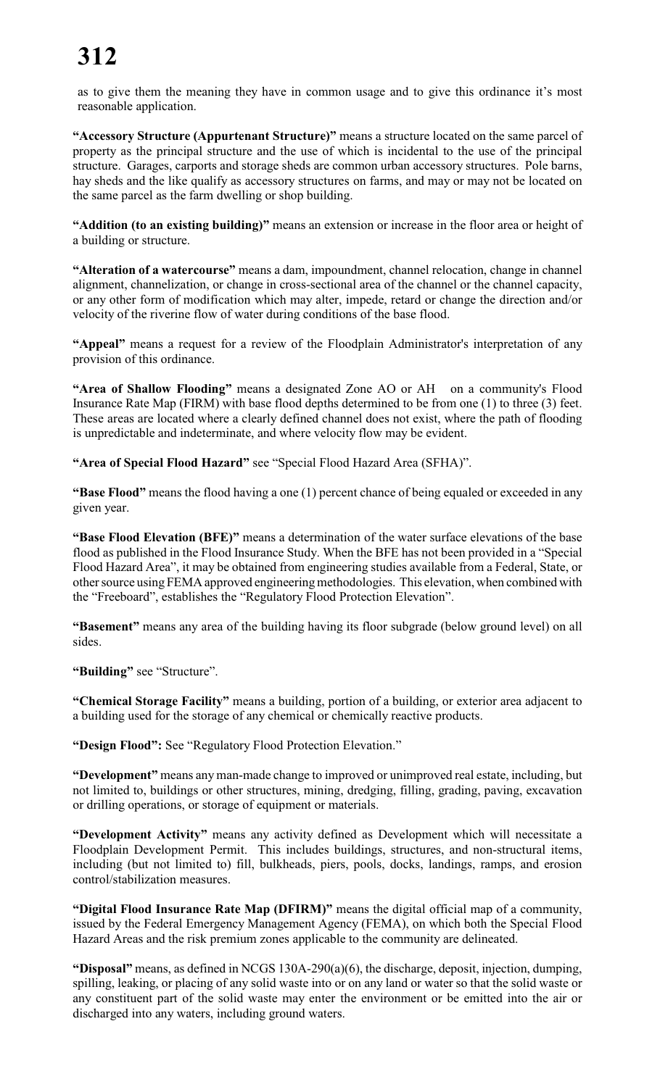as to give them the meaning they have in common usage and to give this ordinance it's most reasonable application.

**"Accessory Structure (Appurtenant Structure)"** means a structure located on the same parcel of property as the principal structure and the use of which is incidental to the use of the principal structure. Garages, carports and storage sheds are common urban accessory structures. Pole barns, hay sheds and the like qualify as accessory structures on farms, and may or may not be located on the same parcel as the farm dwelling or shop building.

**"Addition (to an existing building)"** means an extension or increase in the floor area or height of a building or structure.

**"Alteration of a watercourse"** means a dam, impoundment, channel relocation, change in channel alignment, channelization, or change in cross-sectional area of the channel or the channel capacity, or any other form of modification which may alter, impede, retard or change the direction and/or velocity of the riverine flow of water during conditions of the base flood.

**"Appeal"** means a request for a review of the Floodplain Administrator's interpretation of any provision of this ordinance.

**"Area of Shallow Flooding"** means a designated Zone AO or AH on a community's Flood Insurance Rate Map (FIRM) with base flood depths determined to be from one (1) to three (3) feet. These areas are located where a clearly defined channel does not exist, where the path of flooding is unpredictable and indeterminate, and where velocity flow may be evident.

**"Area of Special Flood Hazard"** see "Special Flood Hazard Area (SFHA)".

**"Base Flood"** means the flood having a one (1) percent chance of being equaled or exceeded in any given year.

**"Base Flood Elevation (BFE)"** means a determination of the water surface elevations of the base flood as published in the Flood Insurance Study. When the BFE has not been provided in a "Special Flood Hazard Area", it may be obtained from engineering studies available from a Federal, State, or other source using FEMA approved engineering methodologies. This elevation, when combined with the "Freeboard", establishes the "Regulatory Flood Protection Elevation".

**"Basement"** means any area of the building having its floor subgrade (below ground level) on all sides.

**"Building"** see "Structure".

**"Chemical Storage Facility"** means a building, portion of a building, or exterior area adjacent to a building used for the storage of any chemical or chemically reactive products.

**"Design Flood":** See "Regulatory Flood Protection Elevation."

**"Development"** means any man-made change to improved or unimproved real estate, including, but not limited to, buildings or other structures, mining, dredging, filling, grading, paving, excavation or drilling operations, or storage of equipment or materials.

**"Development Activity"** means any activity defined as Development which will necessitate a Floodplain Development Permit. This includes buildings, structures, and non-structural items, including (but not limited to) fill, bulkheads, piers, pools, docks, landings, ramps, and erosion control/stabilization measures.

**"Digital Flood Insurance Rate Map (DFIRM)"** means the digital official map of a community, issued by the Federal Emergency Management Agency (FEMA), on which both the Special Flood Hazard Areas and the risk premium zones applicable to the community are delineated.

**"Disposal"** means, as defined in NCGS 130A-290(a)(6), the discharge, deposit, injection, dumping, spilling, leaking, or placing of any solid waste into or on any land or water so that the solid waste or any constituent part of the solid waste may enter the environment or be emitted into the air or discharged into any waters, including ground waters.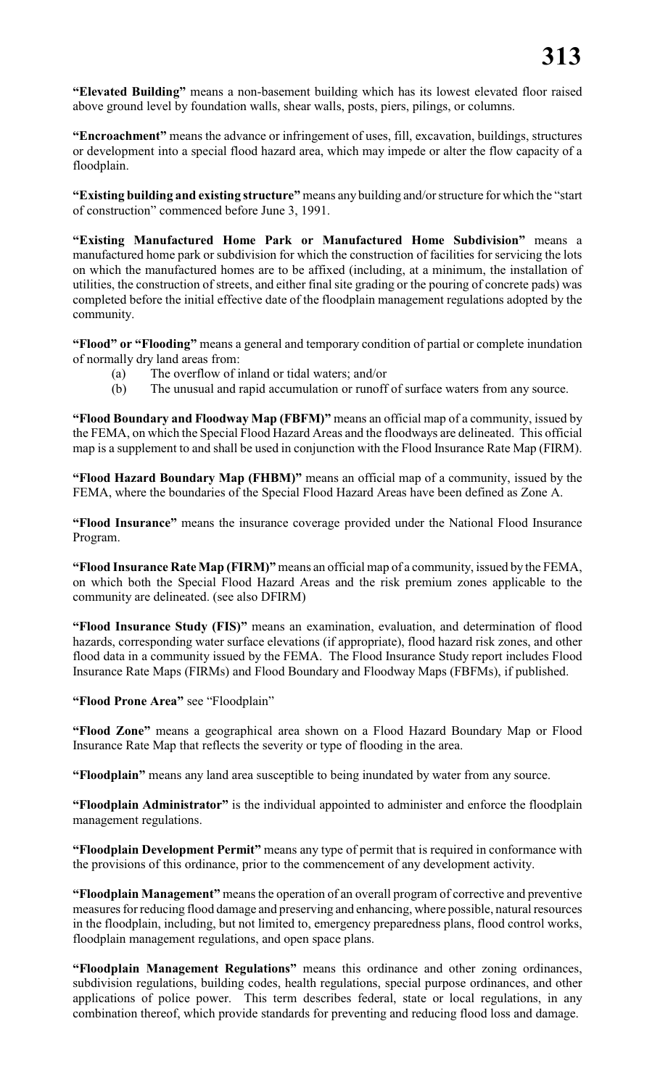**"Elevated Building"** means a non-basement building which has its lowest elevated floor raised above ground level by foundation walls, shear walls, posts, piers, pilings, or columns.

**"Encroachment"** means the advance or infringement of uses, fill, excavation, buildings, structures or development into a special flood hazard area, which may impede or alter the flow capacity of a floodplain.

**"Existing building and existing structure"** means any building and/or structure for which the "start of construction" commenced before June 3, 1991.

**"Existing Manufactured Home Park or Manufactured Home Subdivision"** means a manufactured home park or subdivision for which the construction of facilities for servicing the lots on which the manufactured homes are to be affixed (including, at a minimum, the installation of utilities, the construction of streets, and either final site grading or the pouring of concrete pads) was completed before the initial effective date of the floodplain management regulations adopted by the community.

**"Flood" or "Flooding"** means a general and temporary condition of partial or complete inundation of normally dry land areas from:

- (a) The overflow of inland or tidal waters; and/or
- (b) The unusual and rapid accumulation or runoff of surface waters from any source.

**"Flood Boundary and Floodway Map (FBFM)"** means an official map of a community, issued by the FEMA, on which the Special Flood Hazard Areas and the floodways are delineated. This official map is a supplement to and shall be used in conjunction with the Flood Insurance Rate Map (FIRM).

**"Flood Hazard Boundary Map (FHBM)"** means an official map of a community, issued by the FEMA, where the boundaries of the Special Flood Hazard Areas have been defined as Zone A.

**"Flood Insurance"** means the insurance coverage provided under the National Flood Insurance Program.

**"Flood Insurance Rate Map (FIRM)"** means an official map of a community, issued by the FEMA, on which both the Special Flood Hazard Areas and the risk premium zones applicable to the community are delineated. (see also DFIRM)

**"Flood Insurance Study (FIS)"** means an examination, evaluation, and determination of flood hazards, corresponding water surface elevations (if appropriate), flood hazard risk zones, and other flood data in a community issued by the FEMA. The Flood Insurance Study report includes Flood Insurance Rate Maps (FIRMs) and Flood Boundary and Floodway Maps (FBFMs), if published.

**"Flood Prone Area"** see "Floodplain"

**"Flood Zone"** means a geographical area shown on a Flood Hazard Boundary Map or Flood Insurance Rate Map that reflects the severity or type of flooding in the area.

**"Floodplain"** means any land area susceptible to being inundated by water from any source.

**"Floodplain Administrator"** is the individual appointed to administer and enforce the floodplain management regulations.

**"Floodplain Development Permit"** means any type of permit that is required in conformance with the provisions of this ordinance, prior to the commencement of any development activity.

**"Floodplain Management"** means the operation of an overall program of corrective and preventive measures for reducing flood damage and preserving and enhancing, where possible, natural resources in the floodplain, including, but not limited to, emergency preparedness plans, flood control works, floodplain management regulations, and open space plans.

**"Floodplain Management Regulations"** means this ordinance and other zoning ordinances, subdivision regulations, building codes, health regulations, special purpose ordinances, and other applications of police power. This term describes federal, state or local regulations, in any combination thereof, which provide standards for preventing and reducing flood loss and damage.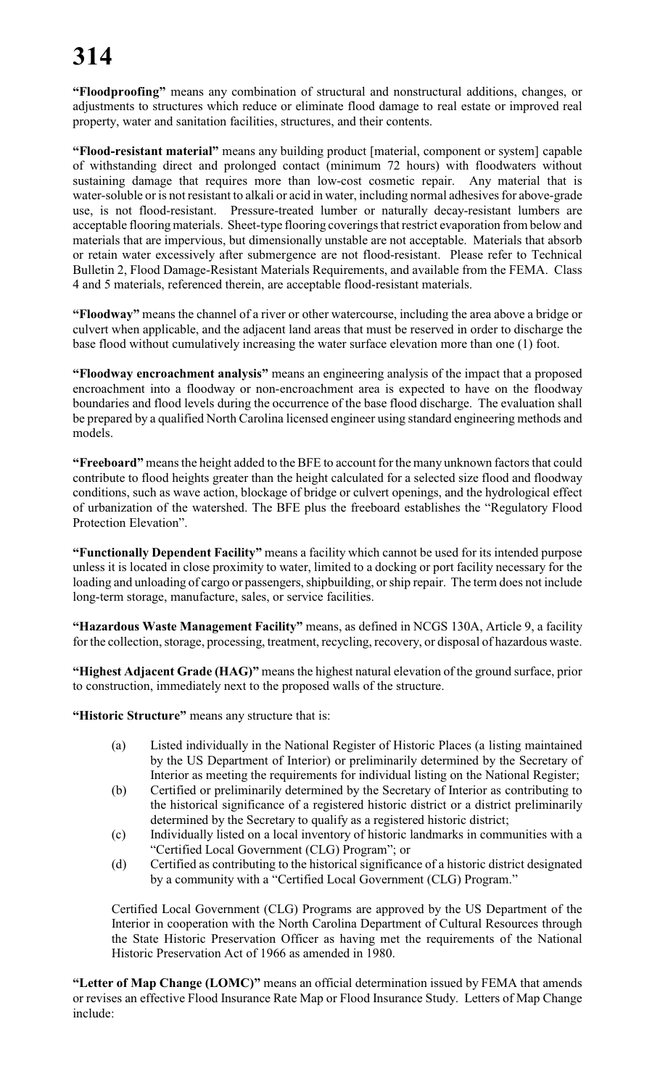# **314**

**"Floodproofing"** means any combination of structural and nonstructural additions, changes, or adjustments to structures which reduce or eliminate flood damage to real estate or improved real property, water and sanitation facilities, structures, and their contents.

**"Flood-resistant material"** means any building product [material, component or system] capable of withstanding direct and prolonged contact (minimum 72 hours) with floodwaters without sustaining damage that requires more than low-cost cosmetic repair. Any material that is water-soluble or is not resistant to alkali or acid in water, including normal adhesives for above-grade use, is not flood-resistant. Pressure-treated lumber or naturally decay-resistant lumbers are acceptable flooring materials. Sheet-type flooring coverings that restrict evaporation from below and materials that are impervious, but dimensionally unstable are not acceptable. Materials that absorb or retain water excessively after submergence are not flood-resistant. Please refer to Technical Bulletin 2, Flood Damage-Resistant Materials Requirements, and available from the FEMA. Class 4 and 5 materials, referenced therein, are acceptable flood-resistant materials.

**"Floodway"** means the channel of a river or other watercourse, including the area above a bridge or culvert when applicable, and the adjacent land areas that must be reserved in order to discharge the base flood without cumulatively increasing the water surface elevation more than one (1) foot.

**"Floodway encroachment analysis"** means an engineering analysis of the impact that a proposed encroachment into a floodway or non-encroachment area is expected to have on the floodway boundaries and flood levels during the occurrence of the base flood discharge. The evaluation shall be prepared by a qualified North Carolina licensed engineer using standard engineering methods and models.

**"Freeboard"** means the height added to the BFE to account for the many unknown factors that could contribute to flood heights greater than the height calculated for a selected size flood and floodway conditions, such as wave action, blockage of bridge or culvert openings, and the hydrological effect of urbanization of the watershed. The BFE plus the freeboard establishes the "Regulatory Flood Protection Elevation".

**"Functionally Dependent Facility"** means a facility which cannot be used for its intended purpose unless it is located in close proximity to water, limited to a docking or port facility necessary for the loading and unloading of cargo or passengers, shipbuilding, or ship repair. The term does not include long-term storage, manufacture, sales, or service facilities.

**"Hazardous Waste Management Facility"** means, as defined in NCGS 130A, Article 9, a facility for the collection, storage, processing, treatment, recycling, recovery, or disposal of hazardous waste.

**"Highest Adjacent Grade (HAG)"** means the highest natural elevation of the ground surface, prior to construction, immediately next to the proposed walls of the structure.

**"Historic Structure"** means any structure that is:

- (a) Listed individually in the National Register of Historic Places (a listing maintained by the US Department of Interior) or preliminarily determined by the Secretary of Interior as meeting the requirements for individual listing on the National Register;
- (b) Certified or preliminarily determined by the Secretary of Interior as contributing to the historical significance of a registered historic district or a district preliminarily determined by the Secretary to qualify as a registered historic district;
- (c) Individually listed on a local inventory of historic landmarks in communities with a "Certified Local Government (CLG) Program"; or
- (d) Certified as contributing to the historical significance of a historic district designated by a community with a "Certified Local Government (CLG) Program."

Certified Local Government (CLG) Programs are approved by the US Department of the Interior in cooperation with the North Carolina Department of Cultural Resources through the State Historic Preservation Officer as having met the requirements of the National Historic Preservation Act of 1966 as amended in 1980.

**"Letter of Map Change (LOMC)"** means an official determination issued by FEMA that amends or revises an effective Flood Insurance Rate Map or Flood Insurance Study. Letters of Map Change include: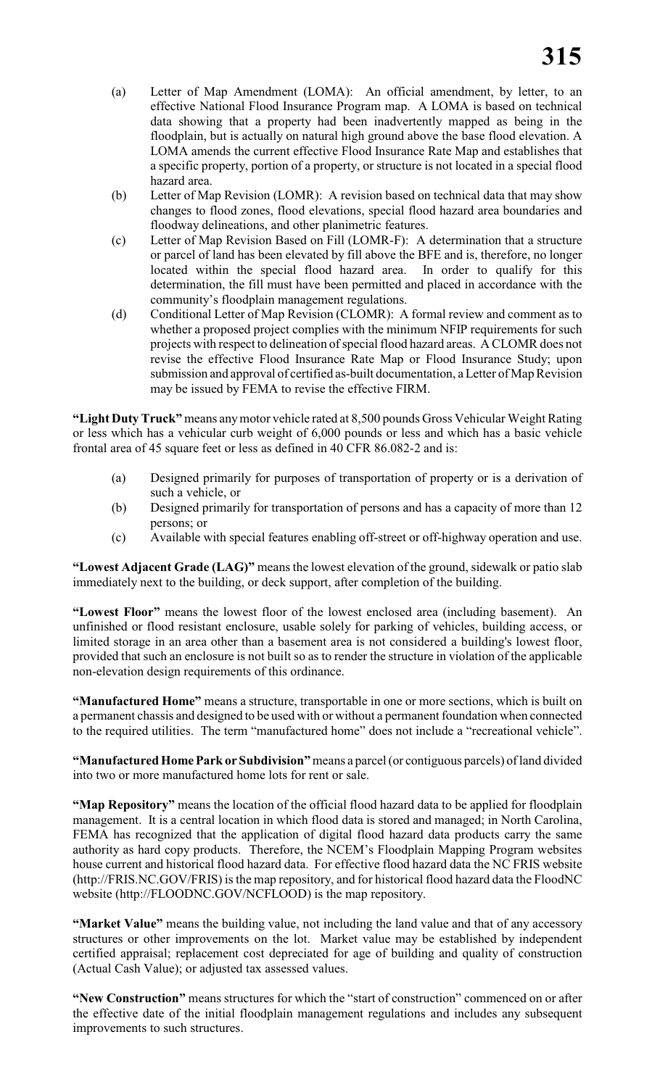- (a) Letter of Map Amendment (LOMA): An official amendment, by letter, to an effective National Flood Insurance Program map. A LOMA is based on technical data showing that a property had been inadvertently mapped as being in the floodplain, but is actually on natural high ground above the base flood elevation. A LOMA amends the current effective Flood Insurance Rate Map and establishes that a specific property, portion of a property, or structure is not located in a special flood hazard area.
- (b) Letter of Map Revision (LOMR): A revision based on technical data that may show changes to flood zones, flood elevations, special flood hazard area boundaries and floodway delineations, and other planimetric features.
- (c) Letter of Map Revision Based on Fill (LOMR-F): A determination that a structure or parcel of land has been elevated by fill above the BFE and is, therefore, no longer located within the special flood hazard area. In order to qualify for this determination, the fill must have been permitted and placed in accordance with the community's floodplain management regulations.
- (d) Conditional Letter of Map Revision (CLOMR): A formal review and comment as to whether a proposed project complies with the minimum NFIP requirements for such projects with respect to delineation of special flood hazard areas. A CLOMR does not revise the effective Flood Insurance Rate Map or Flood Insurance Study; upon submission and approval of certified as-built documentation, a Letter of Map Revision may be issued by FEMA to revise the effective FIRM.

**"Light Duty Truck"** means anymotor vehicle rated at 8,500 pounds Gross Vehicular Weight Rating or less which has a vehicular curb weight of 6,000 pounds or less and which has a basic vehicle frontal area of 45 square feet or less as defined in 40 CFR 86.082-2 and is:

- (a) Designed primarily for purposes of transportation of property or is a derivation of such a vehicle, or
- (b) Designed primarily for transportation of persons and has a capacity of more than 12 persons; or
- (c) Available with special features enabling off-street or off-highway operation and use.

**"Lowest Adjacent Grade (LAG)"** means the lowest elevation of the ground, sidewalk or patio slab immediately next to the building, or deck support, after completion of the building.

**"Lowest Floor"** means the lowest floor of the lowest enclosed area (including basement). An unfinished or flood resistant enclosure, usable solely for parking of vehicles, building access, or limited storage in an area other than a basement area is not considered a building's lowest floor, provided that such an enclosure is not built so as to render the structure in violation of the applicable non-elevation design requirements of this ordinance.

**"Manufactured Home"** means a structure, transportable in one or more sections, which is built on a permanent chassis and designed to be used with or without a permanent foundation when connected to the required utilities. The term "manufactured home" does not include a "recreational vehicle".

**"Manufactured Home Park or Subdivision"** means a parcel (or contiguous parcels) of land divided into two or more manufactured home lots for rent or sale.

**"Map Repository"** means the location of the official flood hazard data to be applied for floodplain management. It is a central location in which flood data is stored and managed; in North Carolina, FEMA has recognized that the application of digital flood hazard data products carry the same authority as hard copy products. Therefore, the NCEM's Floodplain Mapping Program websites house current and historical flood hazard data. For effective flood hazard data the NC FRIS website (http://FRIS.NC.GOV/FRIS) is the map repository, and for historical flood hazard data the FloodNC website (http://FLOODNC.GOV/NCFLOOD) is the map repository.

**"Market Value"** means the building value, not including the land value and that of any accessory structures or other improvements on the lot. Market value may be established by independent certified appraisal; replacement cost depreciated for age of building and quality of construction (Actual Cash Value); or adjusted tax assessed values.

**"New Construction"** means structures for which the "start of construction" commenced on or after the effective date of the initial floodplain management regulations and includes any subsequent improvements to such structures.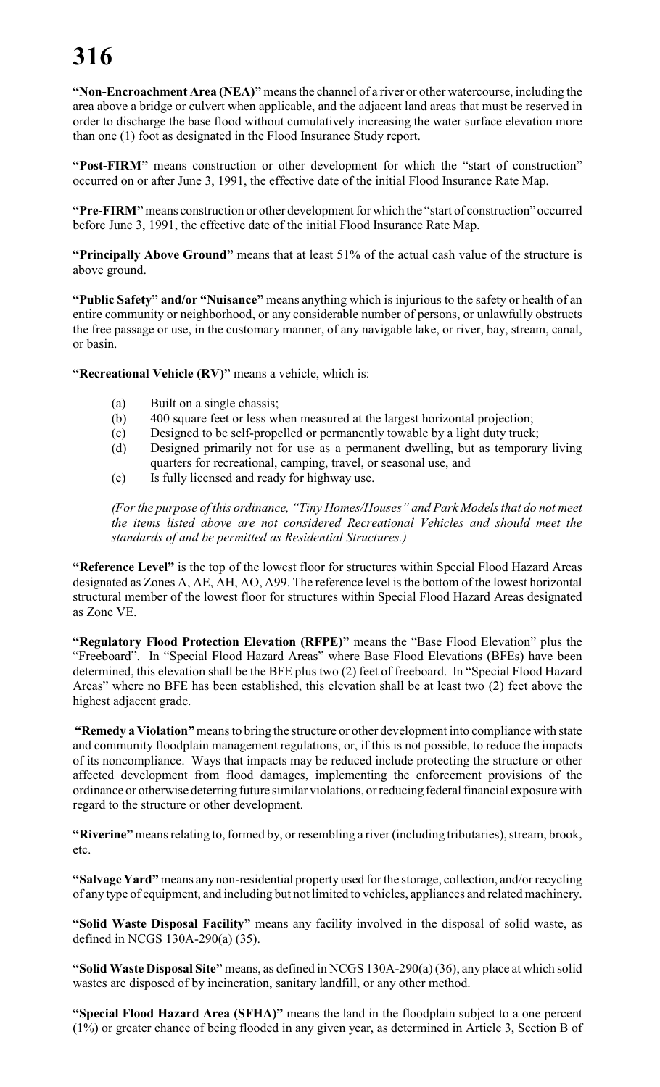# **316**

**"Non-Encroachment Area (NEA)"** means the channel of a river or other watercourse, including the area above a bridge or culvert when applicable, and the adjacent land areas that must be reserved in order to discharge the base flood without cumulatively increasing the water surface elevation more than one (1) foot as designated in the Flood Insurance Study report.

**"Post-FIRM"** means construction or other development for which the "start of construction" occurred on or after June 3, 1991, the effective date of the initial Flood Insurance Rate Map.

**"Pre-FIRM"** means construction or other development for which the "start of construction" occurred before June 3, 1991, the effective date of the initial Flood Insurance Rate Map.

**"Principally Above Ground"** means that at least 51% of the actual cash value of the structure is above ground.

**"Public Safety" and/or "Nuisance"** means anything which is injurious to the safety or health of an entire community or neighborhood, or any considerable number of persons, or unlawfully obstructs the free passage or use, in the customary manner, of any navigable lake, or river, bay, stream, canal, or basin.

**"Recreational Vehicle (RV)"** means a vehicle, which is:

- (a) Built on a single chassis;
- (b) 400 square feet or less when measured at the largest horizontal projection;
- (c) Designed to be self-propelled or permanently towable by a light duty truck;
- (d) Designed primarily not for use as a permanent dwelling, but as temporary living quarters for recreational, camping, travel, or seasonal use, and
- (e) Is fully licensed and ready for highway use.

*(For the purpose of this ordinance, "Tiny Homes/Houses" and Park Models that do not meet the items listed above are not considered Recreational Vehicles and should meet the standards of and be permitted as Residential Structures.)* 

**"Reference Level"** is the top of the lowest floor for structures within Special Flood Hazard Areas designated as Zones A, AE, AH, AO, A99. The reference level is the bottom of the lowest horizontal structural member of the lowest floor for structures within Special Flood Hazard Areas designated as Zone VE.

**"Regulatory Flood Protection Elevation (RFPE)"** means the "Base Flood Elevation" plus the "Freeboard". In "Special Flood Hazard Areas" where Base Flood Elevations (BFEs) have been determined, this elevation shall be the BFE plus two (2) feet of freeboard. In "Special Flood Hazard Areas" where no BFE has been established, this elevation shall be at least two (2) feet above the highest adjacent grade.

 **"Remedy a Violation"** meansto bring the structure or other development into compliance with state and community floodplain management regulations, or, if this is not possible, to reduce the impacts of its noncompliance. Ways that impacts may be reduced include protecting the structure or other affected development from flood damages, implementing the enforcement provisions of the ordinance or otherwise deterring future similar violations, orreducing federal financial exposure with regard to the structure or other development.

**"Riverine"** means relating to, formed by, or resembling a river (including tributaries), stream, brook, etc.

**"Salvage Yard"** means any non-residential property used for the storage, collection, and/or recycling of any type of equipment, and including but not limited to vehicles, appliances and related machinery.

**"Solid Waste Disposal Facility"** means any facility involved in the disposal of solid waste, as defined in NCGS 130A-290(a) (35).

**"Solid Waste Disposal Site"** means, as defined in NCGS 130A-290(a) (36), any place at which solid wastes are disposed of by incineration, sanitary landfill, or any other method.

**"Special Flood Hazard Area (SFHA)"** means the land in the floodplain subject to a one percent (1%) or greater chance of being flooded in any given year, as determined in Article 3, Section B of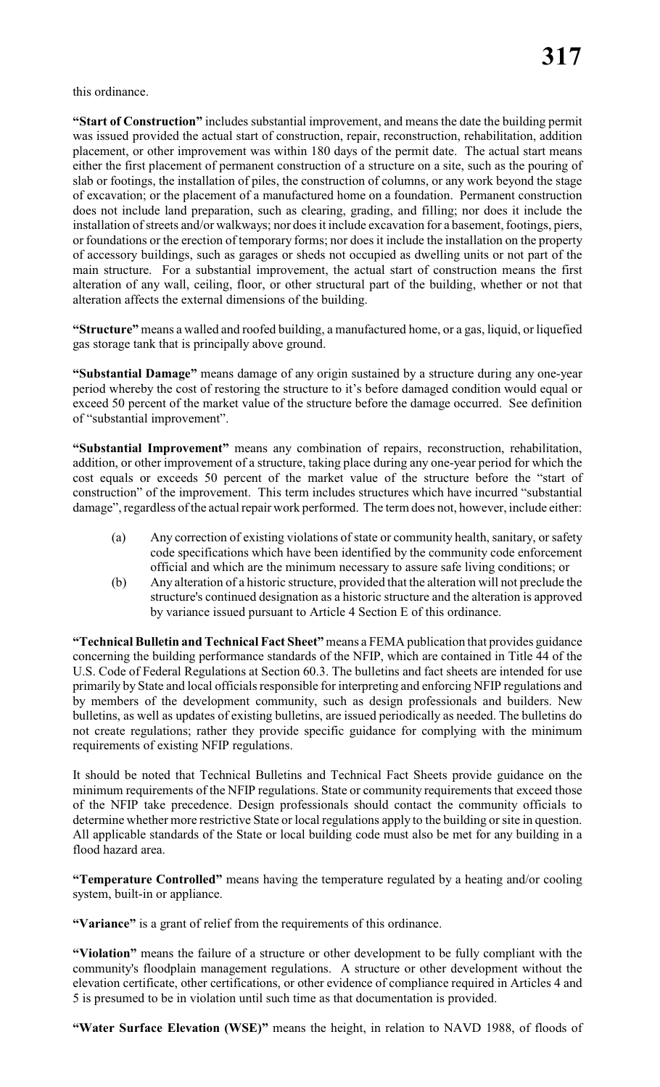this ordinance.

**"Start of Construction"** includes substantial improvement, and means the date the building permit was issued provided the actual start of construction, repair, reconstruction, rehabilitation, addition placement, or other improvement was within 180 days of the permit date. The actual start means either the first placement of permanent construction of a structure on a site, such as the pouring of slab or footings, the installation of piles, the construction of columns, or any work beyond the stage of excavation; or the placement of a manufactured home on a foundation. Permanent construction does not include land preparation, such as clearing, grading, and filling; nor does it include the installation of streets and/or walkways; nor does it include excavation for a basement, footings, piers, or foundations or the erection of temporary forms; nor does it include the installation on the property of accessory buildings, such as garages or sheds not occupied as dwelling units or not part of the main structure. For a substantial improvement, the actual start of construction means the first alteration of any wall, ceiling, floor, or other structural part of the building, whether or not that alteration affects the external dimensions of the building.

**"Structure"** means a walled and roofed building, a manufactured home, or a gas, liquid, or liquefied gas storage tank that is principally above ground.

**"Substantial Damage"** means damage of any origin sustained by a structure during any one-year period whereby the cost of restoring the structure to it's before damaged condition would equal or exceed 50 percent of the market value of the structure before the damage occurred. See definition of "substantial improvement".

**"Substantial Improvement"** means any combination of repairs, reconstruction, rehabilitation, addition, or other improvement of a structure, taking place during any one-year period for which the cost equals or exceeds 50 percent of the market value of the structure before the "start of construction" of the improvement. This term includes structures which have incurred "substantial damage", regardless of the actual repair work performed. The term does not, however, include either:

- (a) Any correction of existing violations of state or community health, sanitary, or safety code specifications which have been identified by the community code enforcement official and which are the minimum necessary to assure safe living conditions; or
- (b) Any alteration of a historic structure, provided that the alteration will not preclude the structure's continued designation as a historic structure and the alteration is approved by variance issued pursuant to Article 4 Section E of this ordinance.

**"Technical Bulletin and Technical Fact Sheet"**means a FEMA publication that provides guidance concerning the building performance standards of the NFIP, which are contained in Title 44 of the U.S. Code of Federal Regulations at Section 60.3. The bulletins and fact sheets are intended for use primarily by State and local officials responsible for interpreting and enforcing NFIP regulations and by members of the development community, such as design professionals and builders. New bulletins, as well as updates of existing bulletins, are issued periodically as needed. The bulletins do not create regulations; rather they provide specific guidance for complying with the minimum requirements of existing NFIP regulations.

It should be noted that Technical Bulletins and Technical Fact Sheets provide guidance on the minimum requirements of the NFIP regulations. State or community requirements that exceed those of the NFIP take precedence. Design professionals should contact the community officials to determine whether more restrictive State or local regulations apply to the building or site in question. All applicable standards of the State or local building code must also be met for any building in a flood hazard area.

**"Temperature Controlled"** means having the temperature regulated by a heating and/or cooling system, built-in or appliance.

**"Variance"** is a grant of relief from the requirements of this ordinance.

**"Violation"** means the failure of a structure or other development to be fully compliant with the community's floodplain management regulations. A structure or other development without the elevation certificate, other certifications, or other evidence of compliance required in Articles 4 and 5 is presumed to be in violation until such time as that documentation is provided.

**"Water Surface Elevation (WSE)"** means the height, in relation to NAVD 1988, of floods of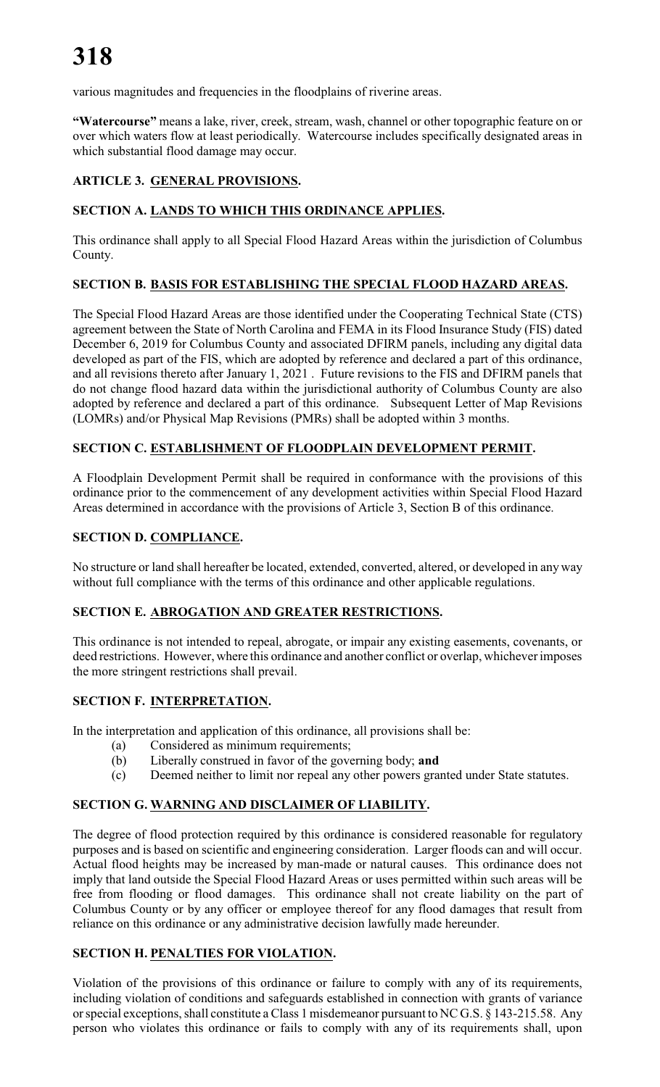various magnitudes and frequencies in the floodplains of riverine areas.

**"Watercourse"** means a lake, river, creek, stream, wash, channel or other topographic feature on or over which waters flow at least periodically. Watercourse includes specifically designated areas in which substantial flood damage may occur.

# **ARTICLE 3. GENERAL PROVISIONS.**

# **SECTION A. LANDS TO WHICH THIS ORDINANCE APPLIES.**

This ordinance shall apply to all Special Flood Hazard Areas within the jurisdiction of Columbus County.

# **SECTION B. BASIS FOR ESTABLISHING THE SPECIAL FLOOD HAZARD AREAS.**

The Special Flood Hazard Areas are those identified under the Cooperating Technical State (CTS) agreement between the State of North Carolina and FEMA in its Flood Insurance Study (FIS) dated December 6, 2019 for Columbus County and associated DFIRM panels, including any digital data developed as part of the FIS, which are adopted by reference and declared a part of this ordinance, and all revisions thereto after January 1, 2021 . Future revisions to the FIS and DFIRM panels that do not change flood hazard data within the jurisdictional authority of Columbus County are also adopted by reference and declared a part of this ordinance. Subsequent Letter of Map Revisions (LOMRs) and/or Physical Map Revisions (PMRs) shall be adopted within 3 months.

# **SECTION C. ESTABLISHMENT OF FLOODPLAIN DEVELOPMENT PERMIT.**

A Floodplain Development Permit shall be required in conformance with the provisions of this ordinance prior to the commencement of any development activities within Special Flood Hazard Areas determined in accordance with the provisions of Article 3, Section B of this ordinance.

# **SECTION D. COMPLIANCE.**

No structure or land shall hereafter be located, extended, converted, altered, or developed in any way without full compliance with the terms of this ordinance and other applicable regulations.

# **SECTION E. ABROGATION AND GREATER RESTRICTIONS.**

This ordinance is not intended to repeal, abrogate, or impair any existing easements, covenants, or deed restrictions. However, where this ordinance and another conflict or overlap, whichever imposes the more stringent restrictions shall prevail.

# **SECTION F. INTERPRETATION.**

In the interpretation and application of this ordinance, all provisions shall be:

- (a) Considered as minimum requirements;
- (b) Liberally construed in favor of the governing body; **and**
- (c) Deemed neither to limit nor repeal any other powers granted under State statutes.

# **SECTION G. WARNING AND DISCLAIMER OF LIABILITY.**

The degree of flood protection required by this ordinance is considered reasonable for regulatory purposes and is based on scientific and engineering consideration. Larger floods can and will occur. Actual flood heights may be increased by man-made or natural causes. This ordinance does not imply that land outside the Special Flood Hazard Areas or uses permitted within such areas will be free from flooding or flood damages. This ordinance shall not create liability on the part of Columbus County or by any officer or employee thereof for any flood damages that result from reliance on this ordinance or any administrative decision lawfully made hereunder.

# **SECTION H. PENALTIES FOR VIOLATION.**

Violation of the provisions of this ordinance or failure to comply with any of its requirements, including violation of conditions and safeguards established in connection with grants of variance or special exceptions, shall constitute a Class 1 misdemeanor pursuant to NC G.S. § 143-215.58. Any person who violates this ordinance or fails to comply with any of its requirements shall, upon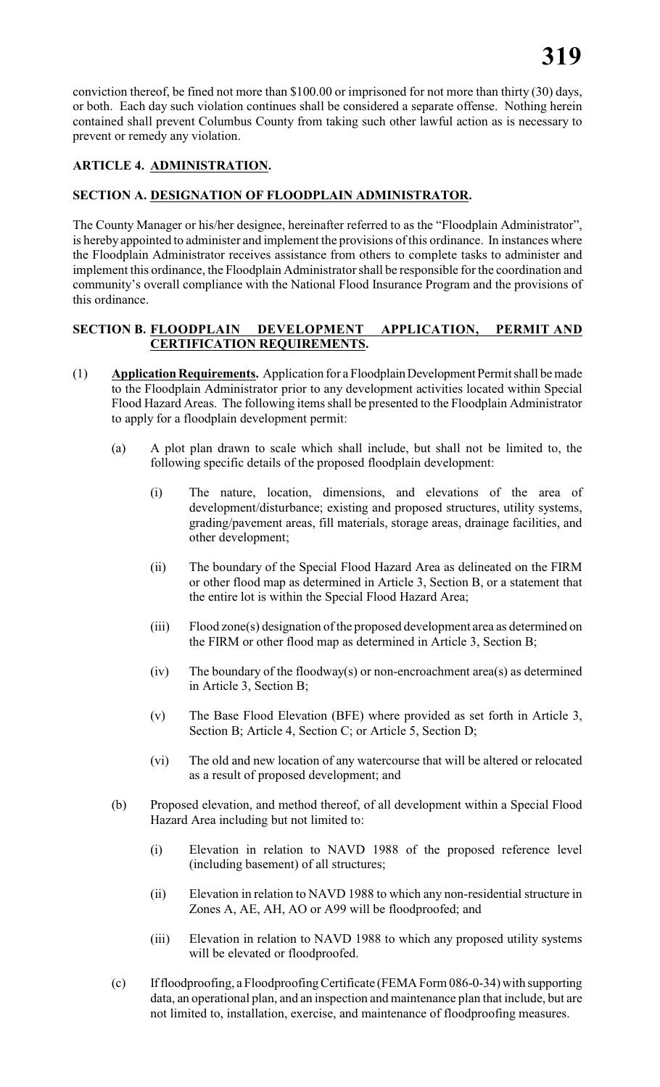conviction thereof, be fined not more than \$100.00 or imprisoned for not more than thirty (30) days, or both. Each day such violation continues shall be considered a separate offense. Nothing herein contained shall prevent Columbus County from taking such other lawful action as is necessary to prevent or remedy any violation.

# **ARTICLE 4. ADMINISTRATION.**

### **SECTION A. DESIGNATION OF FLOODPLAIN ADMINISTRATOR.**

The County Manager or his/her designee, hereinafter referred to as the "Floodplain Administrator", is hereby appointed to administer and implement the provisions of this ordinance. In instances where the Floodplain Administrator receives assistance from others to complete tasks to administer and implement this ordinance, the Floodplain Administrator shall be responsible for the coordination and community's overall compliance with the National Flood Insurance Program and the provisions of this ordinance.

### **SECTION B. FLOODPLAIN DEVELOPMENT APPLICATION, PERMIT AND CERTIFICATION REQUIREMENTS.**

- (1) **Application Requirements.** Application for a Floodplain Development Permit shall be made to the Floodplain Administrator prior to any development activities located within Special Flood Hazard Areas. The following items shall be presented to the Floodplain Administrator to apply for a floodplain development permit:
	- (a) A plot plan drawn to scale which shall include, but shall not be limited to, the following specific details of the proposed floodplain development:
		- (i) The nature, location, dimensions, and elevations of the area of development/disturbance; existing and proposed structures, utility systems, grading/pavement areas, fill materials, storage areas, drainage facilities, and other development;
		- (ii) The boundary of the Special Flood Hazard Area as delineated on the FIRM or other flood map as determined in Article 3, Section B, or a statement that the entire lot is within the Special Flood Hazard Area;
		- (iii) Flood zone(s) designation of the proposed development area as determined on the FIRM or other flood map as determined in Article 3, Section B;
		- (iv) The boundary of the floodway(s) or non-encroachment area(s) as determined in Article 3, Section B;
		- (v) The Base Flood Elevation (BFE) where provided as set forth in Article 3, Section B; Article 4, Section C; or Article 5, Section D;
		- (vi) The old and new location of any watercourse that will be altered or relocated as a result of proposed development; and
	- (b) Proposed elevation, and method thereof, of all development within a Special Flood Hazard Area including but not limited to:
		- (i) Elevation in relation to NAVD 1988 of the proposed reference level (including basement) of all structures;
		- (ii) Elevation in relation to NAVD 1988 to which any non-residential structure in Zones A, AE, AH, AO or A99 will be floodproofed; and
		- (iii) Elevation in relation to NAVD 1988 to which any proposed utility systems will be elevated or floodproofed.
	- (c) If floodproofing, a Floodproofing Certificate (FEMA Form 086-0-34) with supporting data, an operational plan, and an inspection and maintenance plan that include, but are not limited to, installation, exercise, and maintenance of floodproofing measures.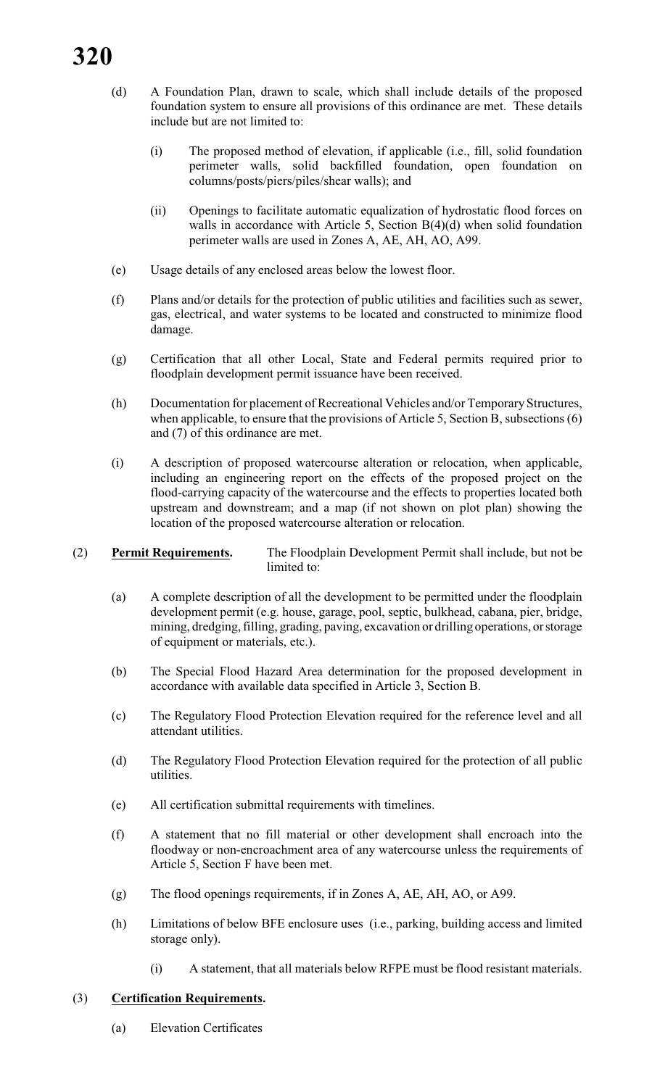# **320**

- (d) A Foundation Plan, drawn to scale, which shall include details of the proposed foundation system to ensure all provisions of this ordinance are met. These details include but are not limited to:
	- (i) The proposed method of elevation, if applicable (i.e., fill, solid foundation perimeter walls, solid backfilled foundation, open foundation on columns/posts/piers/piles/shear walls); and
	- (ii) Openings to facilitate automatic equalization of hydrostatic flood forces on walls in accordance with Article 5, Section B(4)(d) when solid foundation perimeter walls are used in Zones A, AE, AH, AO, A99.
- (e) Usage details of any enclosed areas below the lowest floor.
- (f) Plans and/or details for the protection of public utilities and facilities such as sewer, gas, electrical, and water systems to be located and constructed to minimize flood damage.
- (g) Certification that all other Local, State and Federal permits required prior to floodplain development permit issuance have been received.
- (h) Documentation for placement of Recreational Vehicles and/or Temporary Structures, when applicable, to ensure that the provisions of Article 5, Section B, subsections (6) and (7) of this ordinance are met.
- (i) A description of proposed watercourse alteration or relocation, when applicable, including an engineering report on the effects of the proposed project on the flood-carrying capacity of the watercourse and the effects to properties located both upstream and downstream; and a map (if not shown on plot plan) showing the location of the proposed watercourse alteration or relocation.

#### (2) **Permit Requirements.** The Floodplain Development Permit shall include, but not be limited to:

- (a) A complete description of all the development to be permitted under the floodplain development permit (e.g. house, garage, pool, septic, bulkhead, cabana, pier, bridge, mining, dredging, filling, grading, paving, excavation or drilling operations, or storage of equipment or materials, etc.).
- (b) The Special Flood Hazard Area determination for the proposed development in accordance with available data specified in Article 3, Section B.
- (c) The Regulatory Flood Protection Elevation required for the reference level and all attendant utilities.
- (d) The Regulatory Flood Protection Elevation required for the protection of all public utilities.
- (e) All certification submittal requirements with timelines.
- (f) A statement that no fill material or other development shall encroach into the floodway or non-encroachment area of any watercourse unless the requirements of Article 5, Section F have been met.
- (g) The flood openings requirements, if in Zones A, AE, AH, AO, or A99.
- (h) Limitations of below BFE enclosure uses (i.e., parking, building access and limited storage only).
	- (i) A statement, that all materials below RFPE must be flood resistant materials.

#### (3) **Certification Requirements.**

(a) Elevation Certificates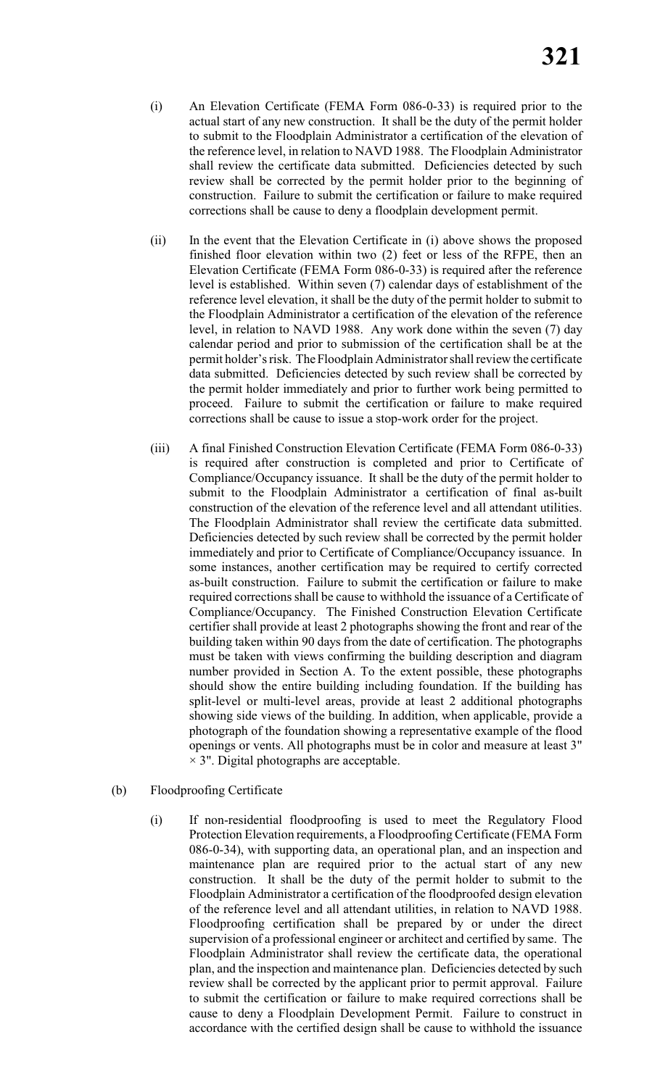- (i) An Elevation Certificate (FEMA Form 086-0-33) is required prior to the actual start of any new construction. It shall be the duty of the permit holder to submit to the Floodplain Administrator a certification of the elevation of the reference level, in relation to NAVD 1988. The Floodplain Administrator shall review the certificate data submitted. Deficiencies detected by such review shall be corrected by the permit holder prior to the beginning of construction. Failure to submit the certification or failure to make required corrections shall be cause to deny a floodplain development permit.
- (ii) In the event that the Elevation Certificate in (i) above shows the proposed finished floor elevation within two (2) feet or less of the RFPE, then an Elevation Certificate (FEMA Form 086-0-33) is required after the reference level is established. Within seven (7) calendar days of establishment of the reference level elevation, it shall be the duty of the permit holder to submit to the Floodplain Administrator a certification of the elevation of the reference level, in relation to NAVD 1988. Any work done within the seven (7) day calendar period and prior to submission of the certification shall be at the permit holder's risk. The Floodplain Administrator shall review the certificate data submitted. Deficiencies detected by such review shall be corrected by the permit holder immediately and prior to further work being permitted to proceed. Failure to submit the certification or failure to make required corrections shall be cause to issue a stop-work order for the project.
- (iii) A final Finished Construction Elevation Certificate (FEMA Form 086-0-33) is required after construction is completed and prior to Certificate of Compliance/Occupancy issuance. It shall be the duty of the permit holder to submit to the Floodplain Administrator a certification of final as-built construction of the elevation of the reference level and all attendant utilities. The Floodplain Administrator shall review the certificate data submitted. Deficiencies detected by such review shall be corrected by the permit holder immediately and prior to Certificate of Compliance/Occupancy issuance. In some instances, another certification may be required to certify corrected as-built construction. Failure to submit the certification or failure to make required corrections shall be cause to withhold the issuance of a Certificate of Compliance/Occupancy. The Finished Construction Elevation Certificate certifier shall provide at least 2 photographs showing the front and rear of the building taken within 90 days from the date of certification. The photographs must be taken with views confirming the building description and diagram number provided in Section A. To the extent possible, these photographs should show the entire building including foundation. If the building has split-level or multi-level areas, provide at least 2 additional photographs showing side views of the building. In addition, when applicable, provide a photograph of the foundation showing a representative example of the flood openings or vents. All photographs must be in color and measure at least 3"  $\times$  3". Digital photographs are acceptable.

#### (b) Floodproofing Certificate

(i) If non-residential floodproofing is used to meet the Regulatory Flood Protection Elevation requirements, a Floodproofing Certificate (FEMA Form 086-0-34), with supporting data, an operational plan, and an inspection and maintenance plan are required prior to the actual start of any new construction. It shall be the duty of the permit holder to submit to the Floodplain Administrator a certification of the floodproofed design elevation of the reference level and all attendant utilities, in relation to NAVD 1988. Floodproofing certification shall be prepared by or under the direct supervision of a professional engineer or architect and certified by same. The Floodplain Administrator shall review the certificate data, the operational plan, and the inspection and maintenance plan. Deficiencies detected by such review shall be corrected by the applicant prior to permit approval. Failure to submit the certification or failure to make required corrections shall be cause to deny a Floodplain Development Permit. Failure to construct in accordance with the certified design shall be cause to withhold the issuance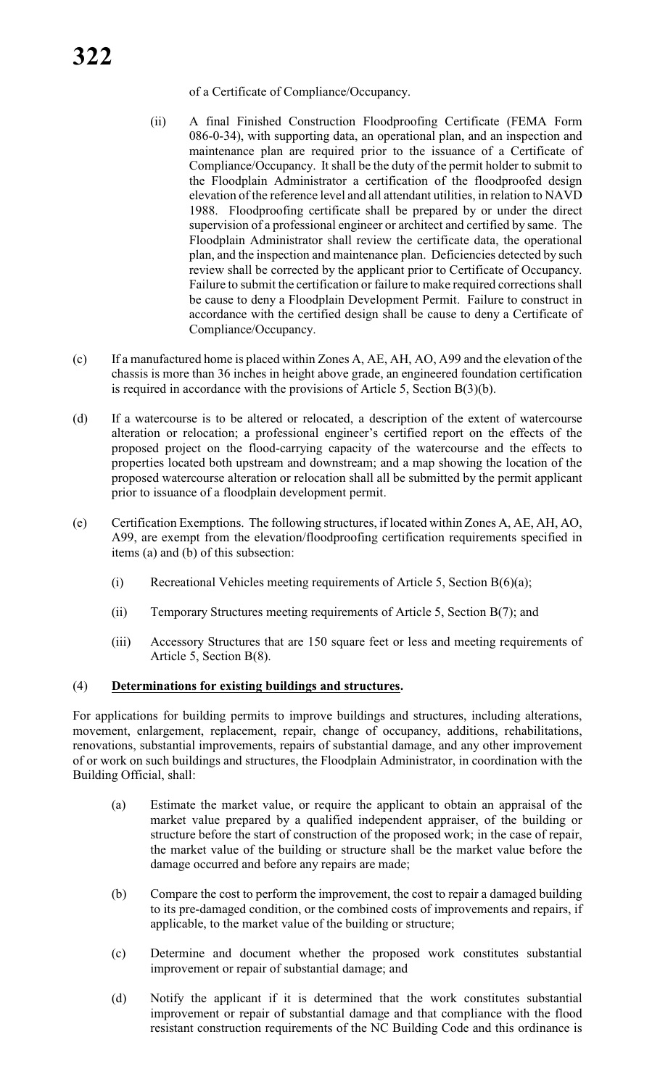- (ii) A final Finished Construction Floodproofing Certificate (FEMA Form 086-0-34), with supporting data, an operational plan, and an inspection and maintenance plan are required prior to the issuance of a Certificate of Compliance/Occupancy. It shall be the duty of the permit holder to submit to the Floodplain Administrator a certification of the floodproofed design elevation of the reference level and all attendant utilities, in relation to NAVD 1988. Floodproofing certificate shall be prepared by or under the direct supervision of a professional engineer or architect and certified by same. The Floodplain Administrator shall review the certificate data, the operational plan, and the inspection and maintenance plan. Deficiencies detected by such review shall be corrected by the applicant prior to Certificate of Occupancy. Failure to submit the certification or failure to make required corrections shall be cause to deny a Floodplain Development Permit. Failure to construct in accordance with the certified design shall be cause to deny a Certificate of Compliance/Occupancy.
- (c) If a manufactured home is placed within Zones A, AE, AH, AO, A99 and the elevation of the chassis is more than 36 inches in height above grade, an engineered foundation certification is required in accordance with the provisions of Article 5, Section B(3)(b).
- (d) If a watercourse is to be altered or relocated, a description of the extent of watercourse alteration or relocation; a professional engineer's certified report on the effects of the proposed project on the flood-carrying capacity of the watercourse and the effects to properties located both upstream and downstream; and a map showing the location of the proposed watercourse alteration or relocation shall all be submitted by the permit applicant prior to issuance of a floodplain development permit.
- (e) Certification Exemptions. The following structures, if located within Zones A, AE, AH, AO, A99, are exempt from the elevation/floodproofing certification requirements specified in items (a) and (b) of this subsection:
	- (i) Recreational Vehicles meeting requirements of Article 5, Section  $B(6)(a)$ ;
	- (ii) Temporary Structures meeting requirements of Article 5, Section B(7); and
	- (iii) Accessory Structures that are 150 square feet or less and meeting requirements of Article 5, Section B(8).

#### (4) **Determinations for existing buildings and structures.**

For applications for building permits to improve buildings and structures, including alterations, movement, enlargement, replacement, repair, change of occupancy, additions, rehabilitations, renovations, substantial improvements, repairs of substantial damage, and any other improvement of or work on such buildings and structures, the Floodplain Administrator, in coordination with the Building Official, shall:

- (a) Estimate the market value, or require the applicant to obtain an appraisal of the market value prepared by a qualified independent appraiser, of the building or structure before the start of construction of the proposed work; in the case of repair, the market value of the building or structure shall be the market value before the damage occurred and before any repairs are made;
- (b) Compare the cost to perform the improvement, the cost to repair a damaged building to its pre-damaged condition, or the combined costs of improvements and repairs, if applicable, to the market value of the building or structure;
- (c) Determine and document whether the proposed work constitutes substantial improvement or repair of substantial damage; and
- (d) Notify the applicant if it is determined that the work constitutes substantial improvement or repair of substantial damage and that compliance with the flood resistant construction requirements of the NC Building Code and this ordinance is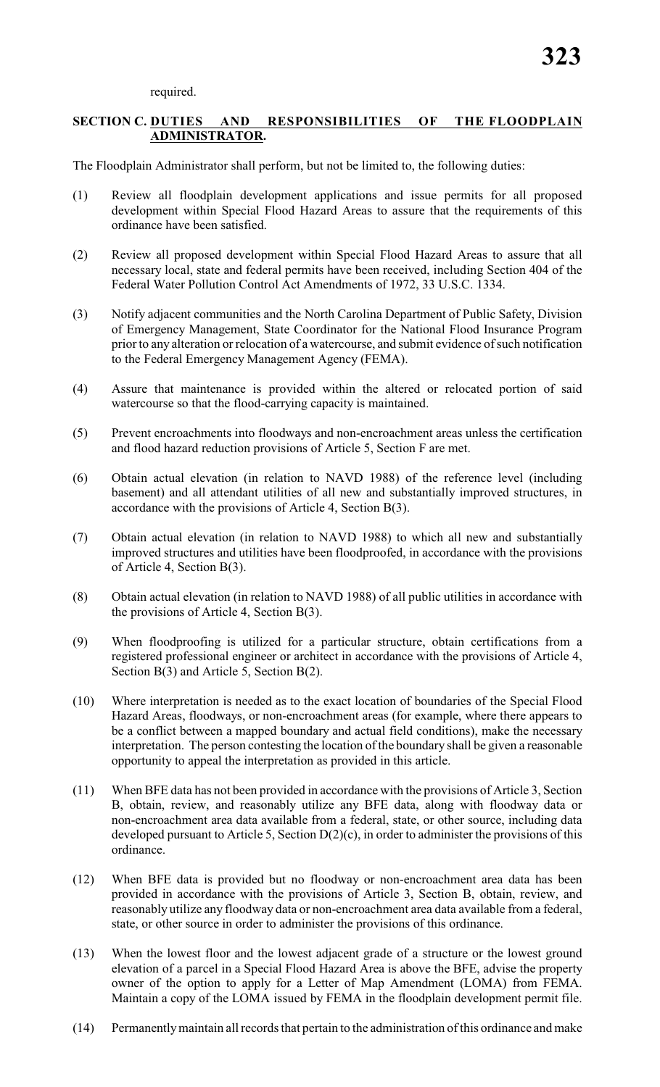required.

# **SECTION C. DUTIES AND RESPONSIBILITIES OF THE FLOODPLAIN ADMINISTRATOR.**

The Floodplain Administrator shall perform, but not be limited to, the following duties:

- (1) Review all floodplain development applications and issue permits for all proposed development within Special Flood Hazard Areas to assure that the requirements of this ordinance have been satisfied.
- (2) Review all proposed development within Special Flood Hazard Areas to assure that all necessary local, state and federal permits have been received, including Section 404 of the Federal Water Pollution Control Act Amendments of 1972, 33 U.S.C. 1334.
- (3) Notify adjacent communities and the North Carolina Department of Public Safety, Division of Emergency Management, State Coordinator for the National Flood Insurance Program prior to any alteration or relocation of a watercourse, and submit evidence of such notification to the Federal Emergency Management Agency (FEMA).
- (4) Assure that maintenance is provided within the altered or relocated portion of said watercourse so that the flood-carrying capacity is maintained.
- (5) Prevent encroachments into floodways and non-encroachment areas unless the certification and flood hazard reduction provisions of Article 5, Section F are met.
- (6) Obtain actual elevation (in relation to NAVD 1988) of the reference level (including basement) and all attendant utilities of all new and substantially improved structures, in accordance with the provisions of Article 4, Section B(3).
- (7) Obtain actual elevation (in relation to NAVD 1988) to which all new and substantially improved structures and utilities have been floodproofed, in accordance with the provisions of Article 4, Section B(3).
- (8) Obtain actual elevation (in relation to NAVD 1988) of all public utilities in accordance with the provisions of Article 4, Section B(3).
- (9) When floodproofing is utilized for a particular structure, obtain certifications from a registered professional engineer or architect in accordance with the provisions of Article 4, Section B(3) and Article 5, Section B(2).
- (10) Where interpretation is needed as to the exact location of boundaries of the Special Flood Hazard Areas, floodways, or non-encroachment areas (for example, where there appears to be a conflict between a mapped boundary and actual field conditions), make the necessary interpretation. The person contesting the location of the boundary shall be given a reasonable opportunity to appeal the interpretation as provided in this article.
- (11) When BFE data has not been provided in accordance with the provisions of Article 3, Section B, obtain, review, and reasonably utilize any BFE data, along with floodway data or non-encroachment area data available from a federal, state, or other source, including data developed pursuant to Article 5, Section D(2)(c), in order to administer the provisions of this ordinance.
- (12) When BFE data is provided but no floodway or non-encroachment area data has been provided in accordance with the provisions of Article 3, Section B, obtain, review, and reasonably utilize any floodway data or non-encroachment area data available from a federal, state, or other source in order to administer the provisions of this ordinance.
- (13) When the lowest floor and the lowest adjacent grade of a structure or the lowest ground elevation of a parcel in a Special Flood Hazard Area is above the BFE, advise the property owner of the option to apply for a Letter of Map Amendment (LOMA) from FEMA. Maintain a copy of the LOMA issued by FEMA in the floodplain development permit file.
- (14) Permanently maintain all records that pertain to the administration of this ordinance and make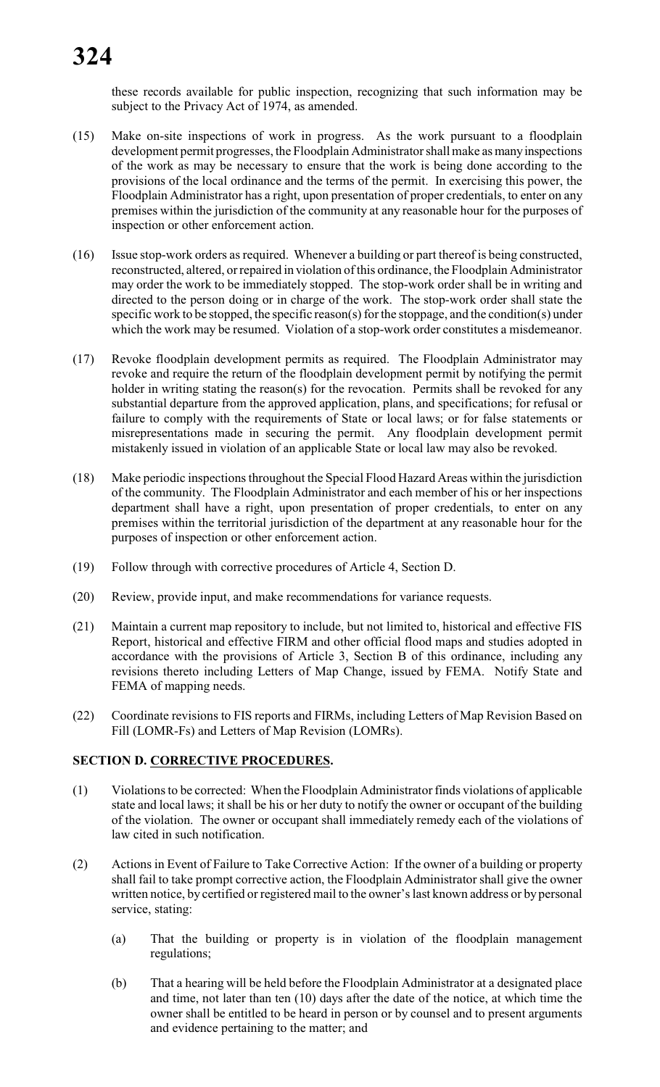these records available for public inspection, recognizing that such information may be subject to the Privacy Act of 1974, as amended.

- (15) Make on-site inspections of work in progress. As the work pursuant to a floodplain development permit progresses, the Floodplain Administrator shall make as many inspections of the work as may be necessary to ensure that the work is being done according to the provisions of the local ordinance and the terms of the permit. In exercising this power, the Floodplain Administrator has a right, upon presentation of proper credentials, to enter on any premises within the jurisdiction of the community at any reasonable hour for the purposes of inspection or other enforcement action.
- (16) Issue stop-work orders as required. Whenever a building or part thereof is being constructed, reconstructed, altered, or repaired in violation of this ordinance, the Floodplain Administrator may order the work to be immediately stopped. The stop-work order shall be in writing and directed to the person doing or in charge of the work. The stop-work order shall state the specific work to be stopped, the specific reason(s) for the stoppage, and the condition(s) under which the work may be resumed. Violation of a stop-work order constitutes a misdemeanor.
- (17) Revoke floodplain development permits as required. The Floodplain Administrator may revoke and require the return of the floodplain development permit by notifying the permit holder in writing stating the reason(s) for the revocation. Permits shall be revoked for any substantial departure from the approved application, plans, and specifications; for refusal or failure to comply with the requirements of State or local laws; or for false statements or misrepresentations made in securing the permit. Any floodplain development permit mistakenly issued in violation of an applicable State or local law may also be revoked.
- (18) Make periodic inspections throughout the Special Flood Hazard Areas within the jurisdiction of the community. The Floodplain Administrator and each member of his or her inspections department shall have a right, upon presentation of proper credentials, to enter on any premises within the territorial jurisdiction of the department at any reasonable hour for the purposes of inspection or other enforcement action.
- (19) Follow through with corrective procedures of Article 4, Section D.
- (20) Review, provide input, and make recommendations for variance requests.
- (21) Maintain a current map repository to include, but not limited to, historical and effective FIS Report, historical and effective FIRM and other official flood maps and studies adopted in accordance with the provisions of Article 3, Section B of this ordinance, including any revisions thereto including Letters of Map Change, issued by FEMA. Notify State and FEMA of mapping needs.
- (22) Coordinate revisions to FIS reports and FIRMs, including Letters of Map Revision Based on Fill (LOMR-Fs) and Letters of Map Revision (LOMRs).

# **SECTION D. CORRECTIVE PROCEDURES.**

- (1) Violations to be corrected: When the Floodplain Administratorfinds violations of applicable state and local laws; it shall be his or her duty to notify the owner or occupant of the building of the violation. The owner or occupant shall immediately remedy each of the violations of law cited in such notification.
- (2) Actions in Event of Failure to Take Corrective Action: If the owner of a building or property shall fail to take prompt corrective action, the Floodplain Administrator shall give the owner written notice, by certified or registered mail to the owner's last known address or by personal service, stating:
	- (a) That the building or property is in violation of the floodplain management regulations;
	- (b) That a hearing will be held before the Floodplain Administrator at a designated place and time, not later than ten (10) days after the date of the notice, at which time the owner shall be entitled to be heard in person or by counsel and to present arguments and evidence pertaining to the matter; and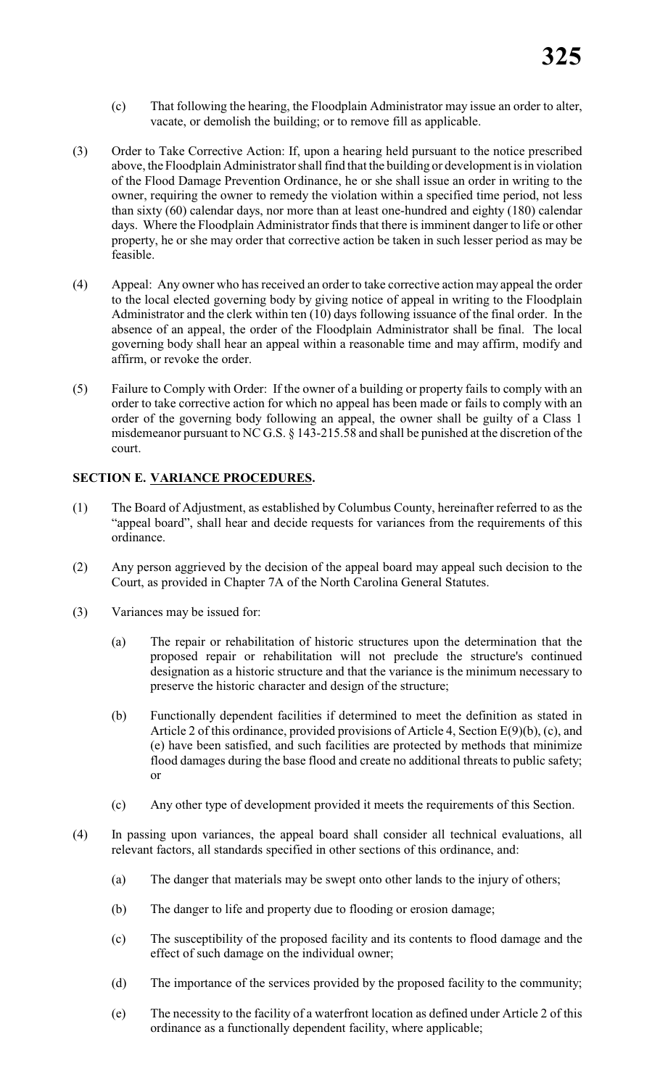- (c) That following the hearing, the Floodplain Administrator may issue an order to alter, vacate, or demolish the building; or to remove fill as applicable.
- (3) Order to Take Corrective Action: If, upon a hearing held pursuant to the notice prescribed above, the Floodplain Administrator shall find that the building or development is in violation of the Flood Damage Prevention Ordinance, he or she shall issue an order in writing to the owner, requiring the owner to remedy the violation within a specified time period, not less than sixty (60) calendar days, nor more than at least one-hundred and eighty (180) calendar days. Where the Floodplain Administrator finds that there is imminent danger to life or other property, he or she may order that corrective action be taken in such lesser period as may be feasible.
- (4) Appeal: Any owner who has received an order to take corrective action may appeal the order to the local elected governing body by giving notice of appeal in writing to the Floodplain Administrator and the clerk within ten (10) days following issuance of the final order. In the absence of an appeal, the order of the Floodplain Administrator shall be final. The local governing body shall hear an appeal within a reasonable time and may affirm, modify and affirm, or revoke the order.
- (5) Failure to Comply with Order: If the owner of a building or property fails to comply with an order to take corrective action for which no appeal has been made or fails to comply with an order of the governing body following an appeal, the owner shall be guilty of a Class 1 misdemeanor pursuant to NC G.S. § 143-215.58 and shall be punished at the discretion of the court.

# **SECTION E. VARIANCE PROCEDURES.**

- (1) The Board of Adjustment, as established by Columbus County, hereinafter referred to as the "appeal board", shall hear and decide requests for variances from the requirements of this ordinance.
- (2) Any person aggrieved by the decision of the appeal board may appeal such decision to the Court, as provided in Chapter 7A of the North Carolina General Statutes.
- (3) Variances may be issued for:
	- (a) The repair or rehabilitation of historic structures upon the determination that the proposed repair or rehabilitation will not preclude the structure's continued designation as a historic structure and that the variance is the minimum necessary to preserve the historic character and design of the structure;
	- (b) Functionally dependent facilities if determined to meet the definition as stated in Article 2 of this ordinance, provided provisions of Article 4, Section E(9)(b), (c), and (e) have been satisfied, and such facilities are protected by methods that minimize flood damages during the base flood and create no additional threats to public safety; or
	- (c) Any other type of development provided it meets the requirements of this Section.
- (4) In passing upon variances, the appeal board shall consider all technical evaluations, all relevant factors, all standards specified in other sections of this ordinance, and:
	- (a) The danger that materials may be swept onto other lands to the injury of others;
	- (b) The danger to life and property due to flooding or erosion damage;
	- (c) The susceptibility of the proposed facility and its contents to flood damage and the effect of such damage on the individual owner;
	- (d) The importance of the services provided by the proposed facility to the community;
	- (e) The necessity to the facility of a waterfront location as defined under Article 2 of this ordinance as a functionally dependent facility, where applicable;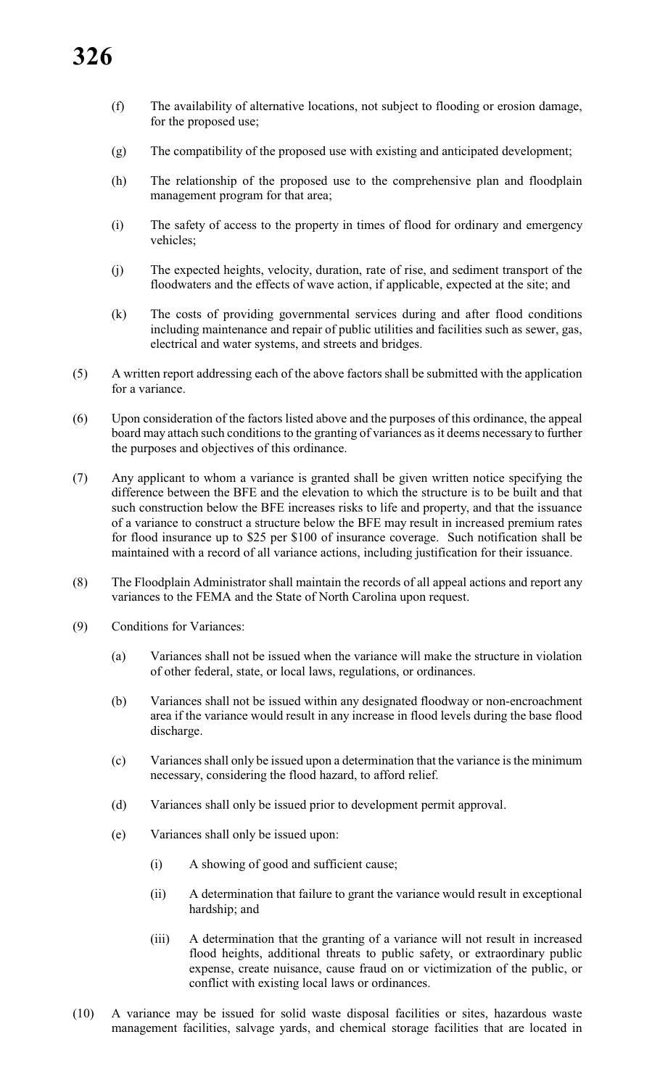- (f) The availability of alternative locations, not subject to flooding or erosion damage, for the proposed use;
- (g) The compatibility of the proposed use with existing and anticipated development;
- (h) The relationship of the proposed use to the comprehensive plan and floodplain management program for that area;
- (i) The safety of access to the property in times of flood for ordinary and emergency vehicles;
- (j) The expected heights, velocity, duration, rate of rise, and sediment transport of the floodwaters and the effects of wave action, if applicable, expected at the site; and
- (k) The costs of providing governmental services during and after flood conditions including maintenance and repair of public utilities and facilities such as sewer, gas, electrical and water systems, and streets and bridges.
- (5) A written report addressing each of the above factors shall be submitted with the application for a variance.
- (6) Upon consideration of the factors listed above and the purposes of this ordinance, the appeal board may attach such conditions to the granting of variances as it deems necessary to further the purposes and objectives of this ordinance.
- (7) Any applicant to whom a variance is granted shall be given written notice specifying the difference between the BFE and the elevation to which the structure is to be built and that such construction below the BFE increases risks to life and property, and that the issuance of a variance to construct a structure below the BFE may result in increased premium rates for flood insurance up to \$25 per \$100 of insurance coverage. Such notification shall be maintained with a record of all variance actions, including justification for their issuance.
- (8) The Floodplain Administrator shall maintain the records of all appeal actions and report any variances to the FEMA and the State of North Carolina upon request.
- (9) Conditions for Variances:
	- (a) Variances shall not be issued when the variance will make the structure in violation of other federal, state, or local laws, regulations, or ordinances.
	- (b) Variances shall not be issued within any designated floodway or non-encroachment area if the variance would result in any increase in flood levels during the base flood discharge.
	- (c) Variances shall only be issued upon a determination that the variance is the minimum necessary, considering the flood hazard, to afford relief.
	- (d) Variances shall only be issued prior to development permit approval.
	- (e) Variances shall only be issued upon:
		- (i) A showing of good and sufficient cause;
		- (ii) A determination that failure to grant the variance would result in exceptional hardship; and
		- (iii) A determination that the granting of a variance will not result in increased flood heights, additional threats to public safety, or extraordinary public expense, create nuisance, cause fraud on or victimization of the public, or conflict with existing local laws or ordinances.
- (10) A variance may be issued for solid waste disposal facilities or sites, hazardous waste management facilities, salvage yards, and chemical storage facilities that are located in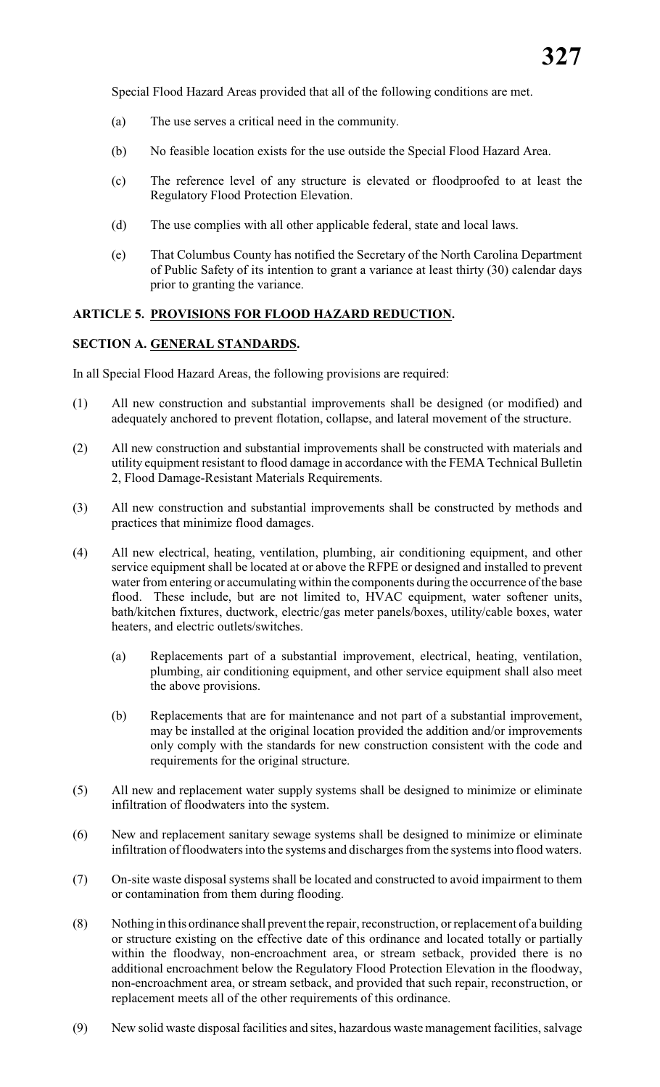Special Flood Hazard Areas provided that all of the following conditions are met.

- (a) The use serves a critical need in the community.
- (b) No feasible location exists for the use outside the Special Flood Hazard Area.
- (c) The reference level of any structure is elevated or floodproofed to at least the Regulatory Flood Protection Elevation.
- (d) The use complies with all other applicable federal, state and local laws.
- (e) That Columbus County has notified the Secretary of the North Carolina Department of Public Safety of its intention to grant a variance at least thirty (30) calendar days prior to granting the variance.

#### **ARTICLE 5. PROVISIONS FOR FLOOD HAZARD REDUCTION.**

#### **SECTION A. GENERAL STANDARDS.**

In all Special Flood Hazard Areas, the following provisions are required:

- (1) All new construction and substantial improvements shall be designed (or modified) and adequately anchored to prevent flotation, collapse, and lateral movement of the structure.
- (2) All new construction and substantial improvements shall be constructed with materials and utility equipment resistant to flood damage in accordance with the FEMA Technical Bulletin 2, Flood Damage-Resistant Materials Requirements.
- (3) All new construction and substantial improvements shall be constructed by methods and practices that minimize flood damages.
- (4) All new electrical, heating, ventilation, plumbing, air conditioning equipment, and other service equipment shall be located at or above the RFPE or designed and installed to prevent water from entering or accumulating within the components during the occurrence ofthe base flood. These include, but are not limited to, HVAC equipment, water softener units, bath/kitchen fixtures, ductwork, electric/gas meter panels/boxes, utility/cable boxes, water heaters, and electric outlets/switches.
	- (a) Replacements part of a substantial improvement, electrical, heating, ventilation, plumbing, air conditioning equipment, and other service equipment shall also meet the above provisions.
	- (b) Replacements that are for maintenance and not part of a substantial improvement, may be installed at the original location provided the addition and/or improvements only comply with the standards for new construction consistent with the code and requirements for the original structure.
- (5) All new and replacement water supply systems shall be designed to minimize or eliminate infiltration of floodwaters into the system.
- (6) New and replacement sanitary sewage systems shall be designed to minimize or eliminate infiltration of floodwaters into the systems and discharges from the systems into flood waters.
- (7) On-site waste disposal systems shall be located and constructed to avoid impairment to them or contamination from them during flooding.
- (8) Nothing in this ordinance shall prevent the repair, reconstruction, or replacement of a building or structure existing on the effective date of this ordinance and located totally or partially within the floodway, non-encroachment area, or stream setback, provided there is no additional encroachment below the Regulatory Flood Protection Elevation in the floodway, non-encroachment area, or stream setback, and provided that such repair, reconstruction, or replacement meets all of the other requirements of this ordinance.
- (9) New solid waste disposal facilities and sites, hazardous waste management facilities, salvage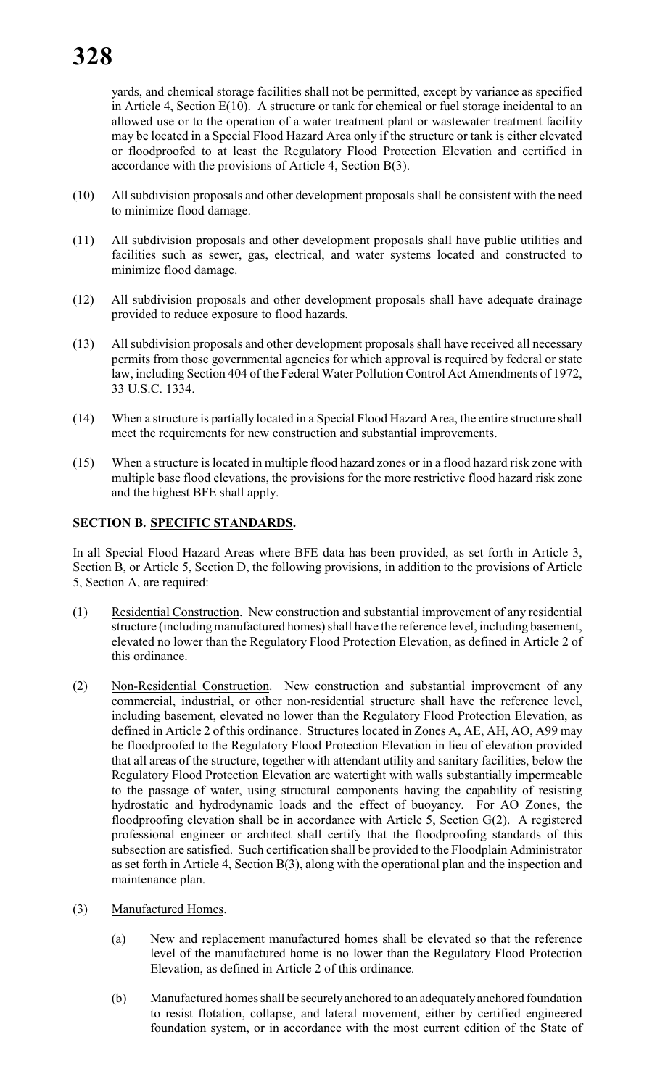yards, and chemical storage facilities shall not be permitted, except by variance as specified in Article 4, Section E(10). A structure or tank for chemical or fuel storage incidental to an allowed use or to the operation of a water treatment plant or wastewater treatment facility may be located in a Special Flood Hazard Area only if the structure or tank is either elevated or floodproofed to at least the Regulatory Flood Protection Elevation and certified in accordance with the provisions of Article 4, Section B(3).

- (10) All subdivision proposals and other development proposals shall be consistent with the need to minimize flood damage.
- (11) All subdivision proposals and other development proposals shall have public utilities and facilities such as sewer, gas, electrical, and water systems located and constructed to minimize flood damage.
- (12) All subdivision proposals and other development proposals shall have adequate drainage provided to reduce exposure to flood hazards.
- (13) All subdivision proposals and other development proposals shall have received all necessary permits from those governmental agencies for which approval is required by federal or state law, including Section 404 of the Federal Water Pollution Control Act Amendments of 1972, 33 U.S.C. 1334.
- (14) When a structure is partially located in a Special Flood Hazard Area, the entire structure shall meet the requirements for new construction and substantial improvements.
- (15) When a structure is located in multiple flood hazard zones or in a flood hazard risk zone with multiple base flood elevations, the provisions for the more restrictive flood hazard risk zone and the highest BFE shall apply.

#### **SECTION B. SPECIFIC STANDARDS.**

In all Special Flood Hazard Areas where BFE data has been provided, as set forth in Article 3, Section B, or Article 5, Section D, the following provisions, in addition to the provisions of Article 5, Section A, are required:

- (1) Residential Construction. New construction and substantial improvement of any residential structure (including manufactured homes) shall have the reference level, including basement, elevated no lower than the Regulatory Flood Protection Elevation, as defined in Article 2 of this ordinance.
- (2) Non-Residential Construction. New construction and substantial improvement of any commercial, industrial, or other non-residential structure shall have the reference level, including basement, elevated no lower than the Regulatory Flood Protection Elevation, as defined in Article 2 of this ordinance. Structures located in Zones A, AE, AH, AO, A99 may be floodproofed to the Regulatory Flood Protection Elevation in lieu of elevation provided that all areas of the structure, together with attendant utility and sanitary facilities, below the Regulatory Flood Protection Elevation are watertight with walls substantially impermeable to the passage of water, using structural components having the capability of resisting hydrostatic and hydrodynamic loads and the effect of buoyancy. For AO Zones, the floodproofing elevation shall be in accordance with Article 5, Section G(2). A registered professional engineer or architect shall certify that the floodproofing standards of this subsection are satisfied. Such certification shall be provided to the Floodplain Administrator as set forth in Article 4, Section B(3), along with the operational plan and the inspection and maintenance plan.
- (3) Manufactured Homes.
	- (a) New and replacement manufactured homes shall be elevated so that the reference level of the manufactured home is no lower than the Regulatory Flood Protection Elevation, as defined in Article 2 of this ordinance.
	- (b) Manufactured homes shall be securely anchored to an adequately anchored foundation to resist flotation, collapse, and lateral movement, either by certified engineered foundation system, or in accordance with the most current edition of the State of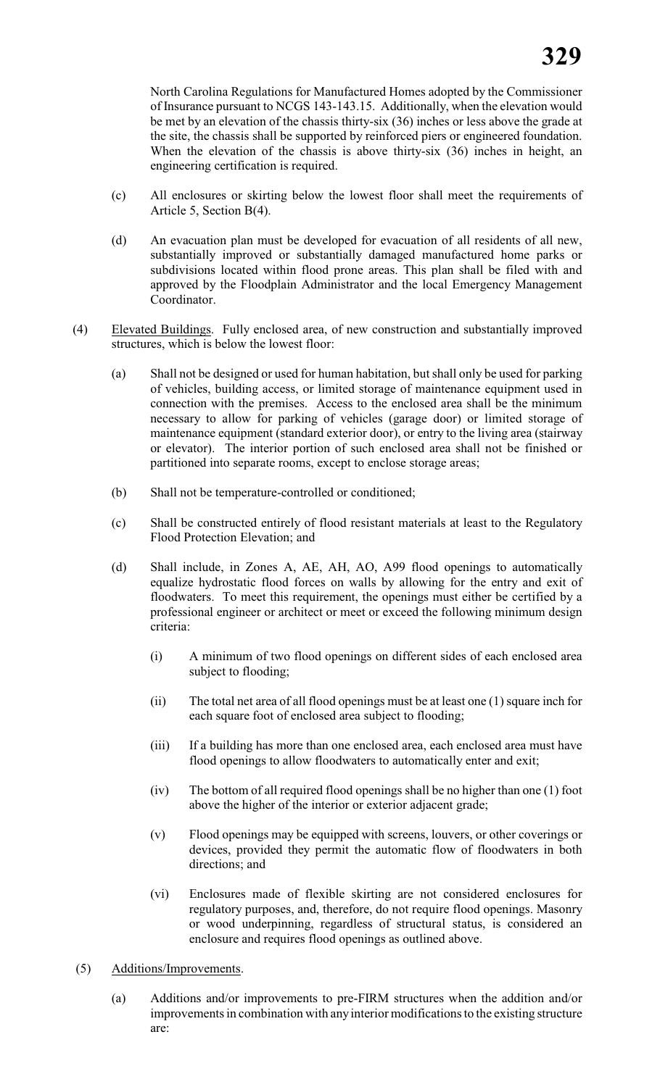North Carolina Regulations for Manufactured Homes adopted by the Commissioner of Insurance pursuant to NCGS 143-143.15. Additionally, when the elevation would be met by an elevation of the chassis thirty-six (36) inches or less above the grade at the site, the chassis shall be supported by reinforced piers or engineered foundation. When the elevation of the chassis is above thirty-six (36) inches in height, an engineering certification is required.

- (c) All enclosures or skirting below the lowest floor shall meet the requirements of Article 5, Section B(4).
- (d) An evacuation plan must be developed for evacuation of all residents of all new, substantially improved or substantially damaged manufactured home parks or subdivisions located within flood prone areas. This plan shall be filed with and approved by the Floodplain Administrator and the local Emergency Management Coordinator.
- (4) Elevated Buildings. Fully enclosed area, of new construction and substantially improved structures, which is below the lowest floor:
	- (a) Shall not be designed or used for human habitation, but shall only be used for parking of vehicles, building access, or limited storage of maintenance equipment used in connection with the premises. Access to the enclosed area shall be the minimum necessary to allow for parking of vehicles (garage door) or limited storage of maintenance equipment (standard exterior door), or entry to the living area (stairway or elevator). The interior portion of such enclosed area shall not be finished or partitioned into separate rooms, except to enclose storage areas;
	- (b) Shall not be temperature-controlled or conditioned;
	- (c) Shall be constructed entirely of flood resistant materials at least to the Regulatory Flood Protection Elevation; and
	- (d) Shall include, in Zones A, AE, AH, AO, A99 flood openings to automatically equalize hydrostatic flood forces on walls by allowing for the entry and exit of floodwaters. To meet this requirement, the openings must either be certified by a professional engineer or architect or meet or exceed the following minimum design criteria:
		- (i) A minimum of two flood openings on different sides of each enclosed area subject to flooding;
		- (ii) The total net area of all flood openings must be at least one (1) square inch for each square foot of enclosed area subject to flooding;
		- (iii) If a building has more than one enclosed area, each enclosed area must have flood openings to allow floodwaters to automatically enter and exit;
		- (iv) The bottom of all required flood openings shall be no higher than one (1) foot above the higher of the interior or exterior adjacent grade;
		- (v) Flood openings may be equipped with screens, louvers, or other coverings or devices, provided they permit the automatic flow of floodwaters in both directions; and
		- (vi) Enclosures made of flexible skirting are not considered enclosures for regulatory purposes, and, therefore, do not require flood openings. Masonry or wood underpinning, regardless of structural status, is considered an enclosure and requires flood openings as outlined above.
- (5) Additions/Improvements.
	- (a) Additions and/or improvements to pre-FIRM structures when the addition and/or improvements in combination with anyinterior modifications to the existing structure are: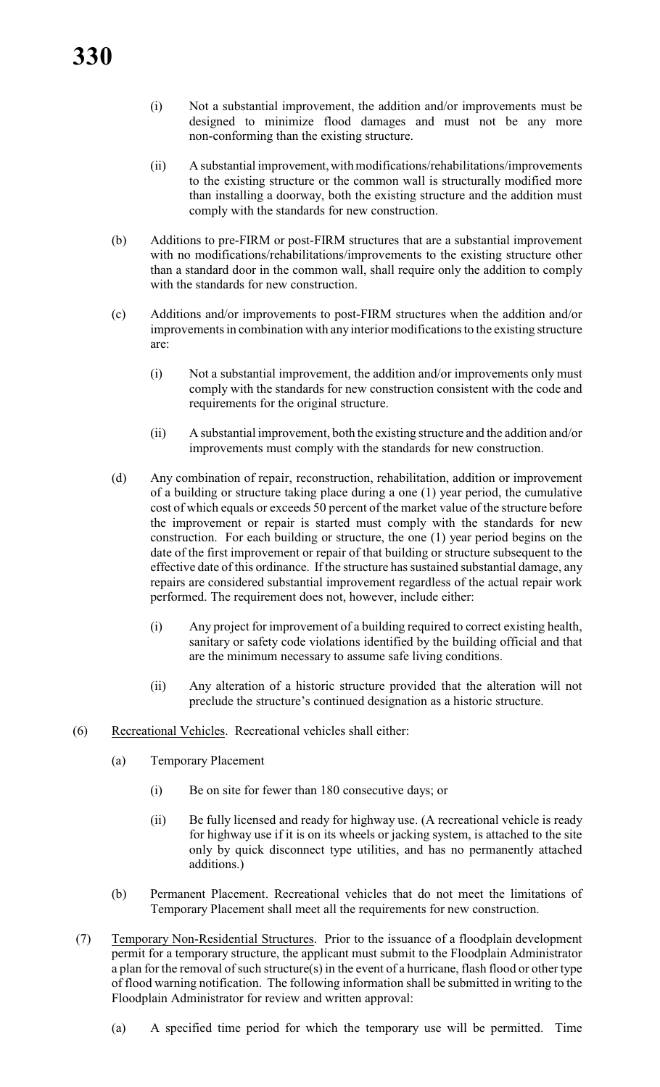- (i) Not a substantial improvement, the addition and/or improvements must be designed to minimize flood damages and must not be any more non-conforming than the existing structure.
- (ii) A substantial improvement, with modifications/rehabilitations/improvements to the existing structure or the common wall is structurally modified more than installing a doorway, both the existing structure and the addition must comply with the standards for new construction.
- (b) Additions to pre-FIRM or post-FIRM structures that are a substantial improvement with no modifications/rehabilitations/improvements to the existing structure other than a standard door in the common wall, shall require only the addition to comply with the standards for new construction.
- (c) Additions and/or improvements to post-FIRM structures when the addition and/or improvements in combination with anyinterior modifications to the existing structure are:
	- (i) Not a substantial improvement, the addition and/or improvements only must comply with the standards for new construction consistent with the code and requirements for the original structure.
	- (ii) A substantial improvement, both the existing structure and the addition and/or improvements must comply with the standards for new construction.
- (d) Any combination of repair, reconstruction, rehabilitation, addition or improvement of a building or structure taking place during a one (1) year period, the cumulative cost of which equals or exceeds 50 percent of the market value of the structure before the improvement or repair is started must comply with the standards for new construction. For each building or structure, the one (1) year period begins on the date of the first improvement or repair of that building or structure subsequent to the effective date of this ordinance. If the structure has sustained substantial damage, any repairs are considered substantial improvement regardless of the actual repair work performed. The requirement does not, however, include either:
	- (i) Any project for improvement of a building required to correct existing health, sanitary or safety code violations identified by the building official and that are the minimum necessary to assume safe living conditions.
	- (ii) Any alteration of a historic structure provided that the alteration will not preclude the structure's continued designation as a historic structure.
- (6) Recreational Vehicles. Recreational vehicles shall either:
	- (a) Temporary Placement
		- (i) Be on site for fewer than 180 consecutive days; or
		- (ii) Be fully licensed and ready for highway use. (A recreational vehicle is ready for highway use if it is on its wheels or jacking system, is attached to the site only by quick disconnect type utilities, and has no permanently attached additions.)
	- (b) Permanent Placement. Recreational vehicles that do not meet the limitations of Temporary Placement shall meet all the requirements for new construction.
- (7) Temporary Non-Residential Structures. Prior to the issuance of a floodplain development permit for a temporary structure, the applicant must submit to the Floodplain Administrator a plan for the removal of such structure(s) in the event of a hurricane, flash flood or other type of flood warning notification. The following information shall be submitted in writing to the Floodplain Administrator for review and written approval:
	- (a) A specified time period for which the temporary use will be permitted. Time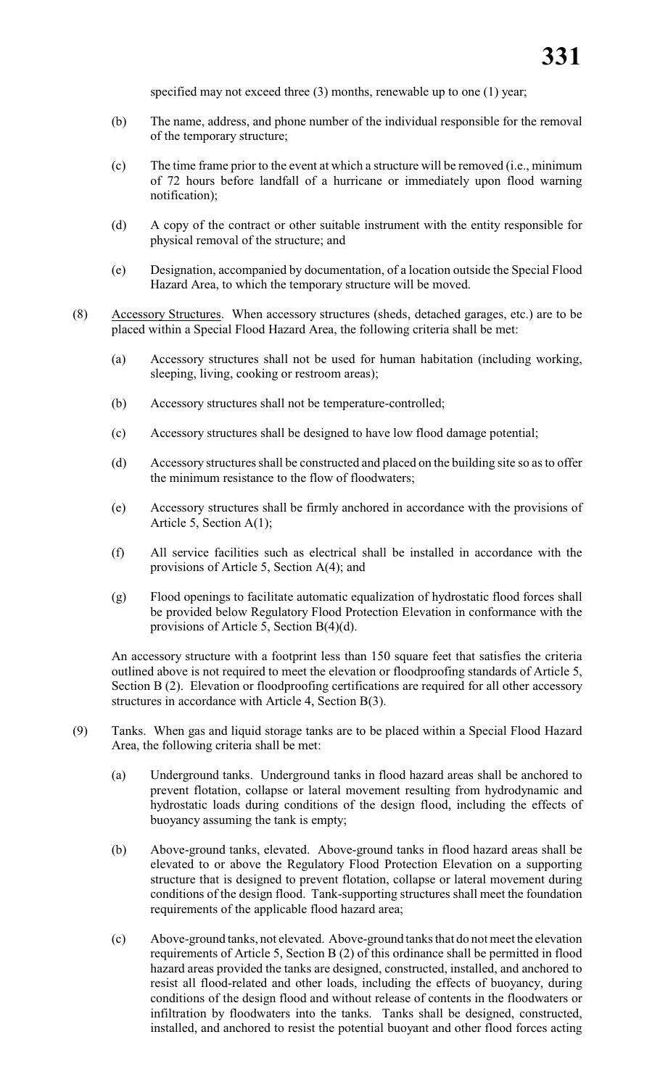specified may not exceed three (3) months, renewable up to one (1) year;

- (b) The name, address, and phone number of the individual responsible for the removal of the temporary structure;
- (c) The time frame prior to the event at which a structure will be removed (i.e., minimum of 72 hours before landfall of a hurricane or immediately upon flood warning notification);
- (d) A copy of the contract or other suitable instrument with the entity responsible for physical removal of the structure; and
- (e) Designation, accompanied by documentation, of a location outside the Special Flood Hazard Area, to which the temporary structure will be moved.
- (8) Accessory Structures. When accessory structures (sheds, detached garages, etc.) are to be placed within a Special Flood Hazard Area, the following criteria shall be met:
	- (a) Accessory structures shall not be used for human habitation (including working, sleeping, living, cooking or restroom areas);
	- (b) Accessory structures shall not be temperature-controlled;
	- (c) Accessory structures shall be designed to have low flood damage potential;
	- (d) Accessory structures shall be constructed and placed on the building site so as to offer the minimum resistance to the flow of floodwaters;
	- (e) Accessory structures shall be firmly anchored in accordance with the provisions of Article 5, Section A(1);
	- (f) All service facilities such as electrical shall be installed in accordance with the provisions of Article 5, Section A(4); and
	- (g) Flood openings to facilitate automatic equalization of hydrostatic flood forces shall be provided below Regulatory Flood Protection Elevation in conformance with the provisions of Article 5, Section B(4)(d).

An accessory structure with a footprint less than 150 square feet that satisfies the criteria outlined above is not required to meet the elevation or floodproofing standards of Article 5, Section B (2). Elevation or floodproofing certifications are required for all other accessory structures in accordance with Article 4, Section B(3).

- (9) Tanks. When gas and liquid storage tanks are to be placed within a Special Flood Hazard Area, the following criteria shall be met:
	- (a) Underground tanks. Underground tanks in flood hazard areas shall be anchored to prevent flotation, collapse or lateral movement resulting from hydrodynamic and hydrostatic loads during conditions of the design flood, including the effects of buoyancy assuming the tank is empty;
	- (b) Above-ground tanks, elevated. Above-ground tanks in flood hazard areas shall be elevated to or above the Regulatory Flood Protection Elevation on a supporting structure that is designed to prevent flotation, collapse or lateral movement during conditions of the design flood. Tank-supporting structures shall meet the foundation requirements of the applicable flood hazard area;
	- (c) Above-ground tanks, not elevated. Above-ground tanks that do not meet the elevation requirements of Article 5, Section B (2) of this ordinance shall be permitted in flood hazard areas provided the tanks are designed, constructed, installed, and anchored to resist all flood-related and other loads, including the effects of buoyancy, during conditions of the design flood and without release of contents in the floodwaters or infiltration by floodwaters into the tanks. Tanks shall be designed, constructed, installed, and anchored to resist the potential buoyant and other flood forces acting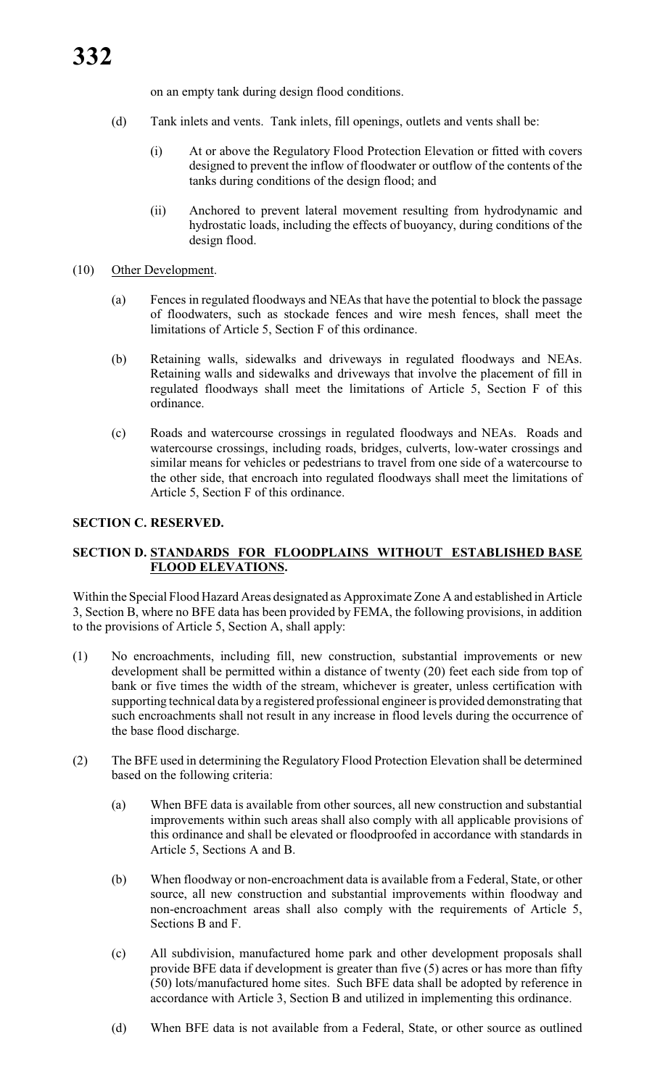on an empty tank during design flood conditions.

- (d) Tank inlets and vents. Tank inlets, fill openings, outlets and vents shall be:
	- (i) At or above the Regulatory Flood Protection Elevation or fitted with covers designed to prevent the inflow of floodwater or outflow of the contents of the tanks during conditions of the design flood; and
	- (ii) Anchored to prevent lateral movement resulting from hydrodynamic and hydrostatic loads, including the effects of buoyancy, during conditions of the design flood.

#### (10) Other Development.

- (a) Fences in regulated floodways and NEAs that have the potential to block the passage of floodwaters, such as stockade fences and wire mesh fences, shall meet the limitations of Article 5, Section F of this ordinance.
- (b) Retaining walls, sidewalks and driveways in regulated floodways and NEAs. Retaining walls and sidewalks and driveways that involve the placement of fill in regulated floodways shall meet the limitations of Article 5, Section F of this ordinance.
- (c) Roads and watercourse crossings in regulated floodways and NEAs. Roads and watercourse crossings, including roads, bridges, culverts, low-water crossings and similar means for vehicles or pedestrians to travel from one side of a watercourse to the other side, that encroach into regulated floodways shall meet the limitations of Article 5, Section F of this ordinance.

#### **SECTION C. RESERVED.**

# **SECTION D. STANDARDS FOR FLOODPLAINS WITHOUT ESTABLISHED BASE FLOOD ELEVATIONS.**

Within the Special Flood Hazard Areas designated as Approximate Zone A and established in Article 3, Section B, where no BFE data has been provided by FEMA, the following provisions, in addition to the provisions of Article 5, Section A, shall apply:

- (1) No encroachments, including fill, new construction, substantial improvements or new development shall be permitted within a distance of twenty (20) feet each side from top of bank or five times the width of the stream, whichever is greater, unless certification with supporting technical data by a registered professional engineer is provided demonstrating that such encroachments shall not result in any increase in flood levels during the occurrence of the base flood discharge.
- (2) The BFE used in determining the Regulatory Flood Protection Elevation shall be determined based on the following criteria:
	- (a) When BFE data is available from other sources, all new construction and substantial improvements within such areas shall also comply with all applicable provisions of this ordinance and shall be elevated or floodproofed in accordance with standards in Article 5, Sections A and B.
	- (b) When floodway or non-encroachment data is available from a Federal, State, or other source, all new construction and substantial improvements within floodway and non-encroachment areas shall also comply with the requirements of Article 5, Sections B and F.
	- (c) All subdivision, manufactured home park and other development proposals shall provide BFE data if development is greater than five (5) acres or has more than fifty (50) lots/manufactured home sites. Such BFE data shall be adopted by reference in accordance with Article 3, Section B and utilized in implementing this ordinance.
	- (d) When BFE data is not available from a Federal, State, or other source as outlined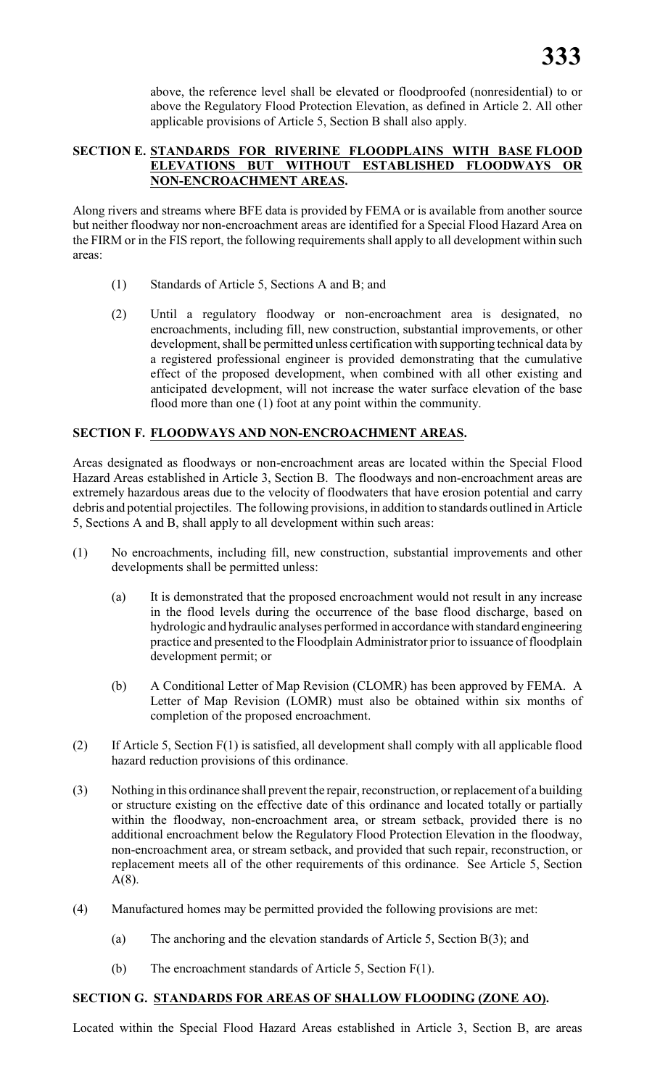above, the reference level shall be elevated or floodproofed (nonresidential) to or above the Regulatory Flood Protection Elevation, as defined in Article 2. All other applicable provisions of Article 5, Section B shall also apply.

# **SECTION E. STANDARDS FOR RIVERINE FLOODPLAINS WITH BASE FLOOD ELEVATIONS BUT WITHOUT ESTABLISHED FLOODWAYS OR NON-ENCROACHMENT AREAS.**

Along rivers and streams where BFE data is provided by FEMA or is available from another source but neither floodway nor non-encroachment areas are identified for a Special Flood Hazard Area on the FIRM or in the FIS report, the following requirements shall apply to all development within such areas:

- (1) Standards of Article 5, Sections A and B; and
- (2) Until a regulatory floodway or non-encroachment area is designated, no encroachments, including fill, new construction, substantial improvements, or other development, shall be permitted unless certification with supporting technical data by a registered professional engineer is provided demonstrating that the cumulative effect of the proposed development, when combined with all other existing and anticipated development, will not increase the water surface elevation of the base flood more than one (1) foot at any point within the community.

# **SECTION F. FLOODWAYS AND NON-ENCROACHMENT AREAS.**

Areas designated as floodways or non-encroachment areas are located within the Special Flood Hazard Areas established in Article 3, Section B. The floodways and non-encroachment areas are extremely hazardous areas due to the velocity of floodwaters that have erosion potential and carry debris and potential projectiles. The following provisions, in addition to standards outlined in Article 5, Sections A and B, shall apply to all development within such areas:

- (1) No encroachments, including fill, new construction, substantial improvements and other developments shall be permitted unless:
	- (a) It is demonstrated that the proposed encroachment would not result in any increase in the flood levels during the occurrence of the base flood discharge, based on hydrologic and hydraulic analyses performed in accordance with standard engineering practice and presented to the Floodplain Administrator prior to issuance of floodplain development permit; or
	- (b) A Conditional Letter of Map Revision (CLOMR) has been approved by FEMA. A Letter of Map Revision (LOMR) must also be obtained within six months of completion of the proposed encroachment.
- (2) If Article 5, Section F(1) is satisfied, all development shall comply with all applicable flood hazard reduction provisions of this ordinance.
- (3) Nothing in this ordinance shall prevent the repair, reconstruction, or replacement of a building or structure existing on the effective date of this ordinance and located totally or partially within the floodway, non-encroachment area, or stream setback, provided there is no additional encroachment below the Regulatory Flood Protection Elevation in the floodway, non-encroachment area, or stream setback, and provided that such repair, reconstruction, or replacement meets all of the other requirements of this ordinance. See Article 5, Section A(8).
- (4) Manufactured homes may be permitted provided the following provisions are met:
	- (a) The anchoring and the elevation standards of Article 5, Section B(3); and
	- (b) The encroachment standards of Article 5, Section F(1).

#### **SECTION G. STANDARDS FOR AREAS OF SHALLOW FLOODING (ZONE AO).**

Located within the Special Flood Hazard Areas established in Article 3, Section B, are areas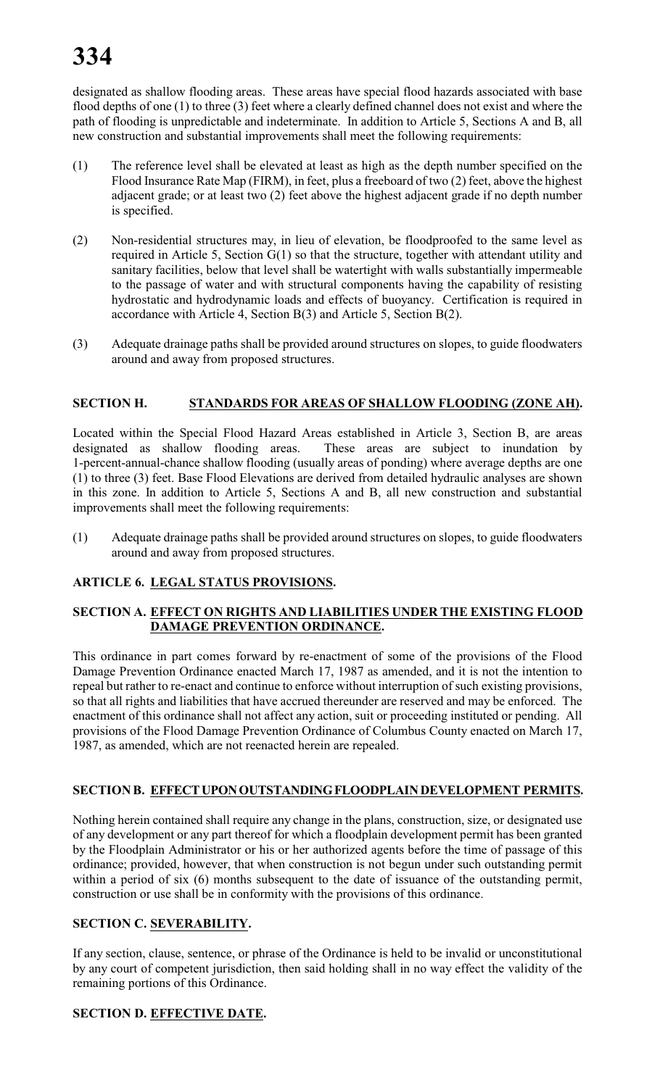# **334**

designated as shallow flooding areas. These areas have special flood hazards associated with base flood depths of one (1) to three (3) feet where a clearly defined channel does not exist and where the path of flooding is unpredictable and indeterminate. In addition to Article 5, Sections A and B, all new construction and substantial improvements shall meet the following requirements:

- (1) The reference level shall be elevated at least as high as the depth number specified on the Flood Insurance Rate Map (FIRM), in feet, plus a freeboard of two (2) feet, above the highest adjacent grade; or at least two (2) feet above the highest adjacent grade if no depth number is specified.
- (2) Non-residential structures may, in lieu of elevation, be floodproofed to the same level as required in Article 5, Section G(1) so that the structure, together with attendant utility and sanitary facilities, below that level shall be watertight with walls substantially impermeable to the passage of water and with structural components having the capability of resisting hydrostatic and hydrodynamic loads and effects of buoyancy. Certification is required in accordance with Article 4, Section B(3) and Article 5, Section B(2).
- (3) Adequate drainage paths shall be provided around structures on slopes, to guide floodwaters around and away from proposed structures.

# **SECTION H. STANDARDS FOR AREAS OF SHALLOW FLOODING (ZONE AH).**

Located within the Special Flood Hazard Areas established in Article 3, Section B, are areas designated as shallow flooding areas. These areas are subject to inundation by 1-percent-annual-chance shallow flooding (usually areas of ponding) where average depths are one (1) to three (3) feet. Base Flood Elevations are derived from detailed hydraulic analyses are shown in this zone. In addition to Article 5, Sections A and B, all new construction and substantial improvements shall meet the following requirements:

(1) Adequate drainage paths shall be provided around structures on slopes, to guide floodwaters around and away from proposed structures.

# **ARTICLE 6. LEGAL STATUS PROVISIONS.**

# **SECTION A. EFFECT ON RIGHTS AND LIABILITIES UNDER THE EXISTING FLOOD DAMAGE PREVENTION ORDINANCE.**

This ordinance in part comes forward by re-enactment of some of the provisions of the Flood Damage Prevention Ordinance enacted March 17, 1987 as amended, and it is not the intention to repeal but rather to re-enact and continue to enforce without interruption of such existing provisions, so that all rights and liabilities that have accrued thereunder are reserved and may be enforced. The enactment of this ordinance shall not affect any action, suit or proceeding instituted or pending. All provisions of the Flood Damage Prevention Ordinance of Columbus County enacted on March 17, 1987, as amended, which are not reenacted herein are repealed.

# **SECTION B. EFFECT UPON OUTSTANDING FLOODPLAIN DEVELOPMENT PERMITS.**

Nothing herein contained shall require any change in the plans, construction, size, or designated use of any development or any part thereof for which a floodplain development permit has been granted by the Floodplain Administrator or his or her authorized agents before the time of passage of this ordinance; provided, however, that when construction is not begun under such outstanding permit within a period of six (6) months subsequent to the date of issuance of the outstanding permit, construction or use shall be in conformity with the provisions of this ordinance.

#### **SECTION C. SEVERABILITY.**

If any section, clause, sentence, or phrase of the Ordinance is held to be invalid or unconstitutional by any court of competent jurisdiction, then said holding shall in no way effect the validity of the remaining portions of this Ordinance.

# **SECTION D. EFFECTIVE DATE.**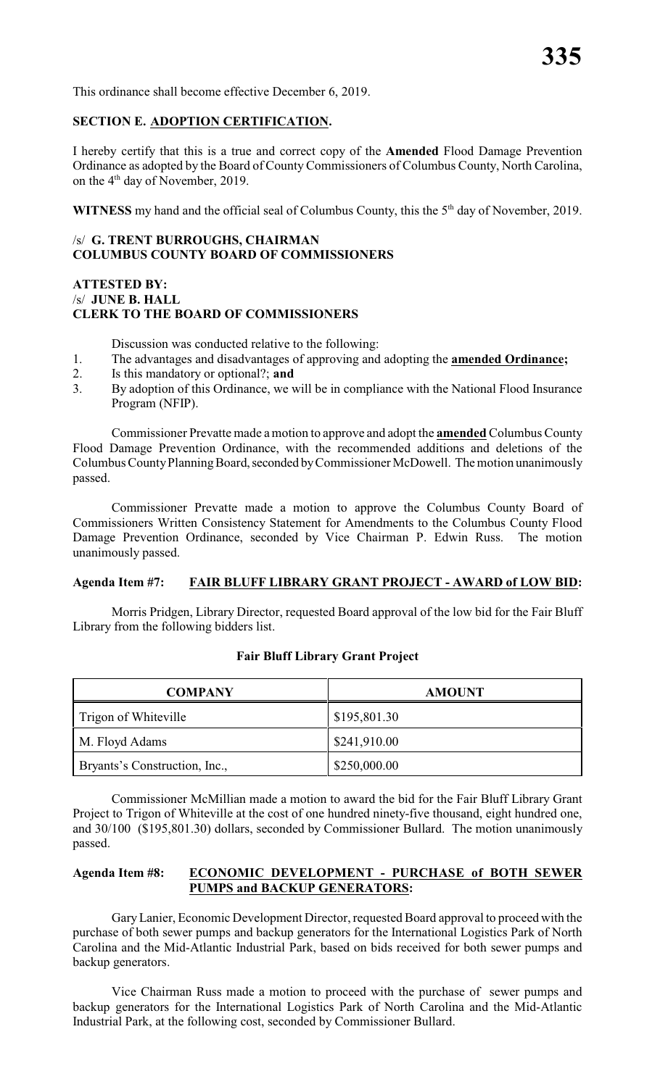This ordinance shall become effective December 6, 2019.

#### **SECTION E. ADOPTION CERTIFICATION.**

I hereby certify that this is a true and correct copy of the **Amended** Flood Damage Prevention Ordinance as adopted by the Board of County Commissioners of Columbus County, North Carolina, on the  $4<sup>th</sup>$  day of November, 2019.

**WITNESS** my hand and the official seal of Columbus County, this the  $5<sup>th</sup>$  day of November, 2019.

#### /s/ **G. TRENT BURROUGHS, CHAIRMAN COLUMBUS COUNTY BOARD OF COMMISSIONERS**

#### **ATTESTED BY:** /s/ **JUNE B. HALL CLERK TO THE BOARD OF COMMISSIONERS**

Discussion was conducted relative to the following:

- 1. The advantages and disadvantages of approving and adopting the **amended Ordinance;**
- 2. Is this mandatory or optional?; **and**
- 3. By adoption of this Ordinance, we will be in compliance with the National Flood Insurance Program (NFIP).

Commissioner Prevatte made a motion to approve and adopt the **amended** Columbus County Flood Damage Prevention Ordinance, with the recommended additions and deletions of the Columbus County Planning Board, seconded by Commissioner McDowell. The motion unanimously passed.

Commissioner Prevatte made a motion to approve the Columbus County Board of Commissioners Written Consistency Statement for Amendments to the Columbus County Flood Damage Prevention Ordinance, seconded by Vice Chairman P. Edwin Russ. The motion unanimously passed.

#### **Agenda Item #7: FAIR BLUFF LIBRARY GRANT PROJECT - AWARD of LOW BID:**

Morris Pridgen, Library Director, requested Board approval of the low bid for the Fair Bluff Library from the following bidders list.

| <b>COMPANY</b>                | <b>AMOUNT</b> |
|-------------------------------|---------------|
| Trigon of Whiteville          | \$195,801.30  |
| M. Floyd Adams                | \$241,910.00  |
| Bryants's Construction, Inc., | \$250,000.00  |

#### **Fair Bluff Library Grant Project**

Commissioner McMillian made a motion to award the bid for the Fair Bluff Library Grant Project to Trigon of Whiteville at the cost of one hundred ninety-five thousand, eight hundred one, and 30/100 (\$195,801.30) dollars, seconded by Commissioner Bullard. The motion unanimously passed.

#### **Agenda Item #8: ECONOMIC DEVELOPMENT - PURCHASE of BOTH SEWER PUMPS and BACKUP GENERATORS:**

Gary Lanier, Economic Development Director, requested Board approval to proceed with the purchase of both sewer pumps and backup generators for the International Logistics Park of North Carolina and the Mid-Atlantic Industrial Park, based on bids received for both sewer pumps and backup generators.

Vice Chairman Russ made a motion to proceed with the purchase of sewer pumps and backup generators for the International Logistics Park of North Carolina and the Mid-Atlantic Industrial Park, at the following cost, seconded by Commissioner Bullard.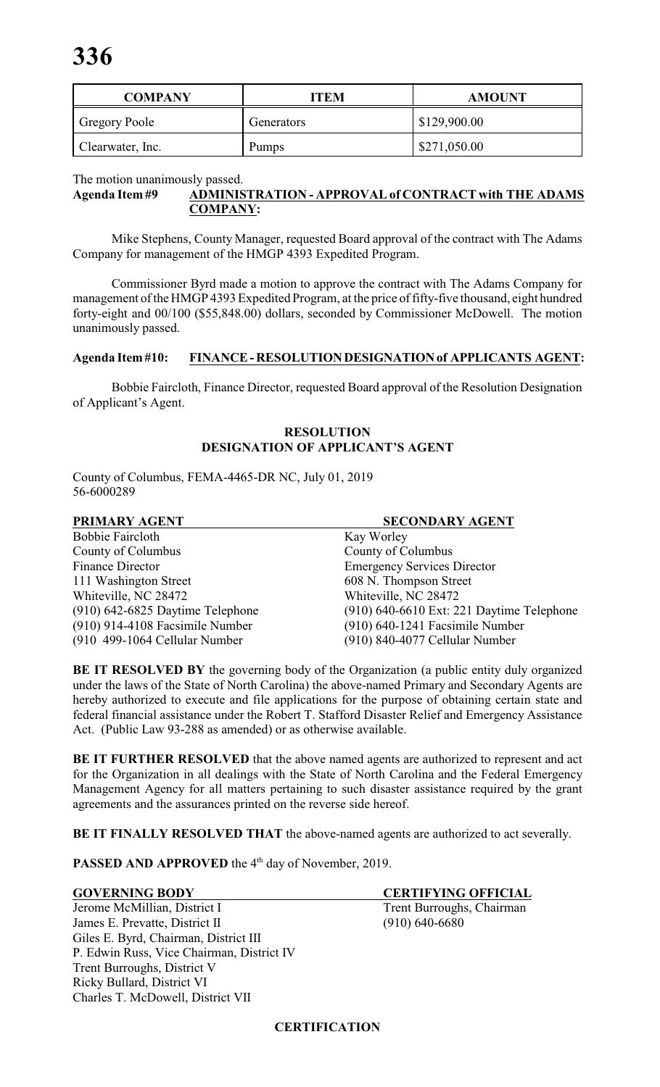| <b>COMPANY</b>       | ITEM         | <b>AMOUNT</b> |
|----------------------|--------------|---------------|
| <b>Gregory Poole</b> | Generators   | \$129,900.00  |
| Clearwater, Inc.     | <b>Pumps</b> | \$271,050.00  |

#### The motion unanimously passed. **Agenda Item #9 ADMINISTRATION - APPROVAL of CONTRACT with THE ADAMS COMPANY:**

Mike Stephens, County Manager, requested Board approval of the contract with The Adams Company for management of the HMGP 4393 Expedited Program.

Commissioner Byrd made a motion to approve the contract with The Adams Company for management of the HMGP 4393 Expedited Program, at the price of fifty-five thousand, eight hundred forty-eight and 00/100 (\$55,848.00) dollars, seconded by Commissioner McDowell. The motion unanimously passed.

# **Agenda Item #10: FINANCE - RESOLUTION DESIGNATION of APPLICANTS AGENT:**

Bobbie Faircloth, Finance Director, requested Board approval of the Resolution Designation of Applicant's Agent.

### **RESOLUTION DESIGNATION OF APPLICANT'S AGENT**

County of Columbus, FEMA-4465-DR NC, July 01, 2019 56-6000289

| PRIMARY AGENT                    | <b>SECONDARY AGENT</b>                    |
|----------------------------------|-------------------------------------------|
| Bobbie Faircloth                 | Kay Worley                                |
| County of Columbus               | County of Columbus                        |
| <b>Finance Director</b>          | <b>Emergency Services Director</b>        |
| 111 Washington Street            | 608 N. Thompson Street                    |
| Whiteville, NC 28472             | Whiteville, NC 28472                      |
| (910) 642-6825 Daytime Telephone | (910) 640-6610 Ext: 221 Daytime Telephone |
| (910) 914-4108 Facsimile Number  | $(910)$ 640-1241 Facsimile Number         |
| (910 499-1064 Cellular Number    | (910) 840-4077 Cellular Number            |
|                                  |                                           |

**BE IT RESOLVED BY** the governing body of the Organization (a public entity duly organized under the laws of the State of North Carolina) the above-named Primary and Secondary Agents are hereby authorized to execute and file applications for the purpose of obtaining certain state and federal financial assistance under the Robert T. Stafford Disaster Relief and Emergency Assistance Act. (Public Law 93-288 as amended) or as otherwise available.

BE IT FURTHER RESOLVED that the above named agents are authorized to represent and act for the Organization in all dealings with the State of North Carolina and the Federal Emergency Management Agency for all matters pertaining to such disaster assistance required by the grant agreements and the assurances printed on the reverse side hereof.

**BE IT FINALLY RESOLVED THAT** the above-named agents are authorized to act severally.

**PASSED AND APPROVED** the 4<sup>th</sup> day of November, 2019.

**GOVERNING BODY CERTIFYING OFFICIAL** Jerome McMillian, District I Trent Burroughs, Chairman James E. Prevatte, District II (910) 640-6680 Giles E. Byrd, Chairman, District III P. Edwin Russ, Vice Chairman, District IV Trent Burroughs, District V Ricky Bullard, District VI Charles T. McDowell, District VII

#### **CERTIFICATION**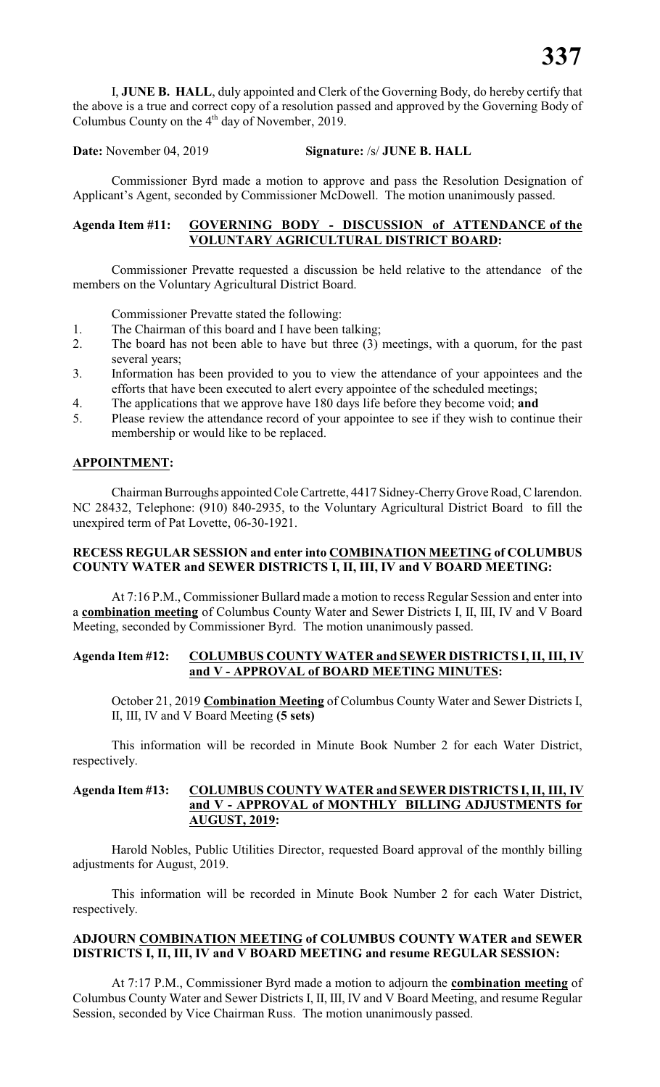I, **JUNE B. HALL**, duly appointed and Clerk of the Governing Body, do hereby certify that the above is a true and correct copy of a resolution passed and approved by the Governing Body of Columbus County on the  $4<sup>th</sup>$  day of November, 2019.

**Date:** November 04, 2019 **Signature:** /s/ **JUNE B. HALL**

Commissioner Byrd made a motion to approve and pass the Resolution Designation of Applicant's Agent, seconded by Commissioner McDowell. The motion unanimously passed.

#### **Agenda Item #11: GOVERNING BODY - DISCUSSION of ATTENDANCE of the VOLUNTARY AGRICULTURAL DISTRICT BOARD:**

Commissioner Prevatte requested a discussion be held relative to the attendance of the members on the Voluntary Agricultural District Board.

Commissioner Prevatte stated the following:

- 1. The Chairman of this board and I have been talking;
- 2. The board has not been able to have but three (3) meetings, with a quorum, for the past several years;
- 3. Information has been provided to you to view the attendance of your appointees and the efforts that have been executed to alert every appointee of the scheduled meetings;
- 4. The applications that we approve have 180 days life before they become void; **and**
- 5. Please review the attendance record of your appointee to see if they wish to continue their membership or would like to be replaced.

#### **APPOINTMENT:**

Chairman Burroughs appointed Cole Cartrette, 4417 Sidney-CherryGroveRoad, C larendon. NC 28432, Telephone: (910) 840-2935, to the Voluntary Agricultural District Board to fill the unexpired term of Pat Lovette, 06-30-1921.

#### **RECESS REGULAR SESSION and enter into COMBINATION MEETING of COLUMBUS COUNTY WATER and SEWER DISTRICTS I, II, III, IV and V BOARD MEETING:**

At 7:16 P.M., Commissioner Bullard made a motion to recess Regular Session and enter into a **combination meeting** of Columbus County Water and Sewer Districts I, II, III, IV and V Board Meeting, seconded by Commissioner Byrd. The motion unanimously passed.

#### **Agenda Item #12: COLUMBUS COUNTY WATER and SEWER DISTRICTS I,II, III, IV and V - APPROVAL of BOARD MEETING MINUTES:**

October 21, 2019 **Combination Meeting** of Columbus County Water and Sewer Districts I, II, III, IV and V Board Meeting **(5 sets)**

This information will be recorded in Minute Book Number 2 for each Water District, respectively.

#### **Agenda Item #13: COLUMBUS COUNTY WATER and SEWER DISTRICTS I,II, III, IV and V - APPROVAL of MONTHLY BILLING ADJUSTMENTS for AUGUST, 2019:**

Harold Nobles, Public Utilities Director, requested Board approval of the monthly billing adjustments for August, 2019.

This information will be recorded in Minute Book Number 2 for each Water District, respectively.

#### **ADJOURN COMBINATION MEETING of COLUMBUS COUNTY WATER and SEWER DISTRICTS I, II, III, IV and V BOARD MEETING and resume REGULAR SESSION:**

At 7:17 P.M., Commissioner Byrd made a motion to adjourn the **combination meeting** of Columbus County Water and Sewer Districts I, II, III, IV and V Board Meeting, and resume Regular Session, seconded by Vice Chairman Russ. The motion unanimously passed.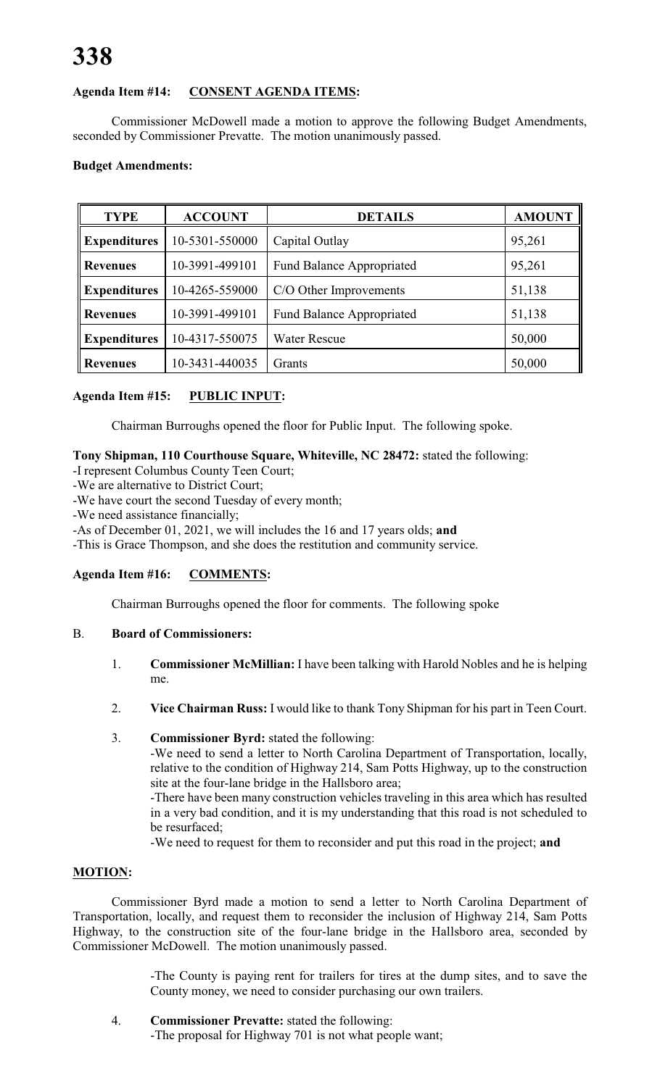# **Agenda Item #14: CONSENT AGENDA ITEMS:**

Commissioner McDowell made a motion to approve the following Budget Amendments, seconded by Commissioner Prevatte. The motion unanimously passed.

# **Budget Amendments:**

| <b>TYPE</b>                           | <b>ACCOUNT</b>                                     | <b>DETAILS</b>                   | <b>AMOUNT</b> |
|---------------------------------------|----------------------------------------------------|----------------------------------|---------------|
| <b>Expenditures</b>                   | 10-5301-550000                                     | Capital Outlay                   | 95,261        |
| <b>Revenues</b>                       | 10-3991-499101<br><b>Fund Balance Appropriated</b> |                                  | 95,261        |
| <b>Expenditures</b><br>10-4265-559000 |                                                    | C/O Other Improvements           | 51,138        |
| 10-3991-499101<br><b>Revenues</b>     |                                                    | <b>Fund Balance Appropriated</b> | 51,138        |
| <b>Expenditures</b><br>10-4317-550075 |                                                    | <b>Water Rescue</b>              | 50,000        |
| <b>Revenues</b>                       | 10-3431-440035                                     | Grants                           | 50,000        |

# **Agenda Item #15: PUBLIC INPUT:**

Chairman Burroughs opened the floor for Public Input. The following spoke.

#### **Tony Shipman, 110 Courthouse Square, Whiteville, NC 28472:** stated the following:

- -I represent Columbus County Teen Court;
- -We are alternative to District Court;
- -We have court the second Tuesday of every month;

-We need assistance financially;

-As of December 01, 2021, we will includes the 16 and 17 years olds; **and**

-This is Grace Thompson, and she does the restitution and community service.

#### **Agenda Item #16: COMMENTS:**

Chairman Burroughs opened the floor for comments. The following spoke

#### B. **Board of Commissioners:**

- 1. **Commissioner McMillian:** I have been talking with Harold Nobles and he is helping me.
- 2. **Vice Chairman Russ:** I would like to thank Tony Shipman for his part in Teen Court.
- 3. **Commissioner Byrd:** stated the following:

-We need to send a letter to North Carolina Department of Transportation, locally, relative to the condition of Highway 214, Sam Potts Highway, up to the construction site at the four-lane bridge in the Hallsboro area;

-There have been many construction vehicles traveling in this area which has resulted in a very bad condition, and it is my understanding that this road is not scheduled to be resurfaced;

-We need to request for them to reconsider and put this road in the project; **and**

# **MOTION:**

Commissioner Byrd made a motion to send a letter to North Carolina Department of Transportation, locally, and request them to reconsider the inclusion of Highway 214, Sam Potts Highway, to the construction site of the four-lane bridge in the Hallsboro area, seconded by Commissioner McDowell. The motion unanimously passed.

> -The County is paying rent for trailers for tires at the dump sites, and to save the County money, we need to consider purchasing our own trailers.

4. **Commissioner Prevatte:** stated the following: -The proposal for Highway 701 is not what people want;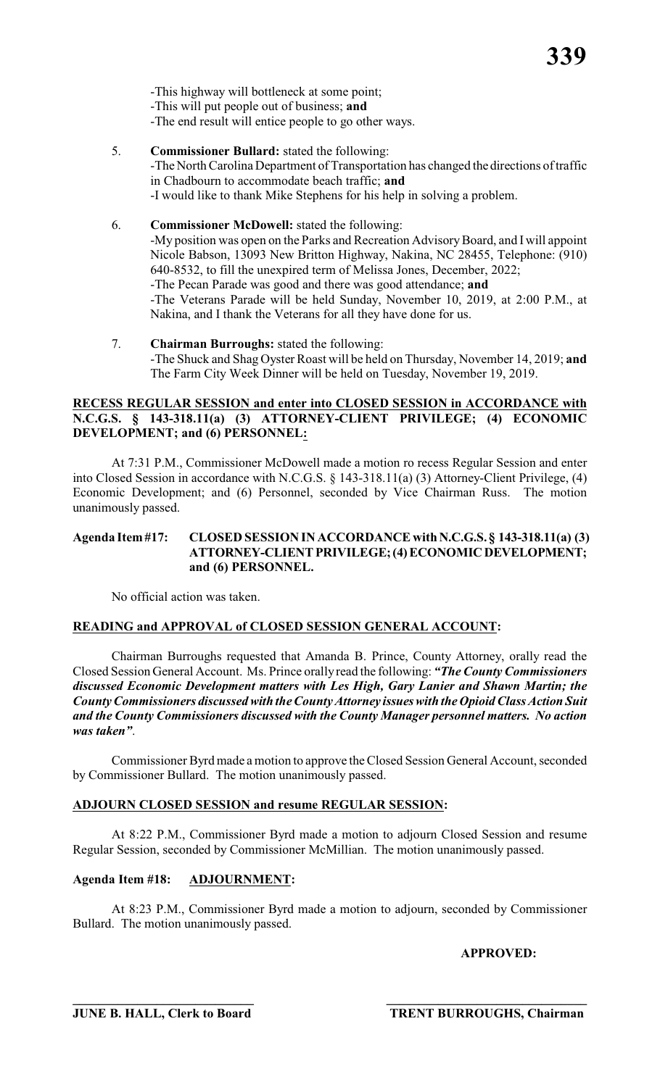-This highway will bottleneck at some point; -This will put people out of business; **and** -The end result will entice people to go other ways.

- 5. **Commissioner Bullard:** stated the following: -The North Carolina Department of Transportation has changed the directions of traffic in Chadbourn to accommodate beach traffic; **and** -I would like to thank Mike Stephens for his help in solving a problem.
- 6. **Commissioner McDowell:** stated the following: -My position was open on the Parks and Recreation Advisory Board, and I will appoint Nicole Babson, 13093 New Britton Highway, Nakina, NC 28455, Telephone: (910) 640-8532, to fill the unexpired term of Melissa Jones, December, 2022; -The Pecan Parade was good and there was good attendance; **and** -The Veterans Parade will be held Sunday, November 10, 2019, at 2:00 P.M., at Nakina, and I thank the Veterans for all they have done for us.
- 7. **Chairman Burroughs:** stated the following: -The Shuck and Shag Oyster Roast will be held on Thursday, November 14, 2019; **and** The Farm City Week Dinner will be held on Tuesday, November 19, 2019.

## **RECESS REGULAR SESSION and enter into CLOSED SESSION in ACCORDANCE with N.C.G.S. § 143-318.11(a) (3) ATTORNEY-CLIENT PRIVILEGE; (4) ECONOMIC DEVELOPMENT; and (6) PERSONNEL:**

At 7:31 P.M., Commissioner McDowell made a motion ro recess Regular Session and enter into Closed Session in accordance with N.C.G.S. § 143-318.11(a) (3) Attorney-Client Privilege, (4) Economic Development; and (6) Personnel, seconded by Vice Chairman Russ. The motion unanimously passed.

#### **Agenda Item #17: CLOSED SESSION IN ACCORDANCE with N.C.G.S. § 143-318.11(a) (3) ATTORNEY-CLIENT PRIVILEGE; (4) ECONOMIC DEVELOPMENT; and (6) PERSONNEL.**

No official action was taken.

# **READING and APPROVAL of CLOSED SESSION GENERAL ACCOUNT:**

Chairman Burroughs requested that Amanda B. Prince, County Attorney, orally read the Closed Session General Account. Ms. Prince orally read the following: *"The County Commissioners discussed Economic Development matters with Les High, Gary Lanier and Shawn Martin; the County Commissioners discussed with the County Attorney issues with the Opioid Class Action Suit and the County Commissioners discussed with the County Manager personnel matters. No action was taken"*.

Commissioner Byrd made a motion to approve the Closed Session General Account, seconded by Commissioner Bullard. The motion unanimously passed.

# **ADJOURN CLOSED SESSION and resume REGULAR SESSION:**

At 8:22 P.M., Commissioner Byrd made a motion to adjourn Closed Session and resume Regular Session, seconded by Commissioner McMillian. The motion unanimously passed.

# **Agenda Item #18: ADJOURNMENT:**

At 8:23 P.M., Commissioner Byrd made a motion to adjourn, seconded by Commissioner Bullard. The motion unanimously passed.

# **APPROVED:**

**\_\_\_\_\_\_\_\_\_\_\_\_\_\_\_\_\_\_\_\_\_\_\_\_\_\_\_\_ \_\_\_\_\_\_\_\_\_\_\_\_\_\_\_\_\_\_\_\_\_\_\_\_\_\_\_\_\_\_\_**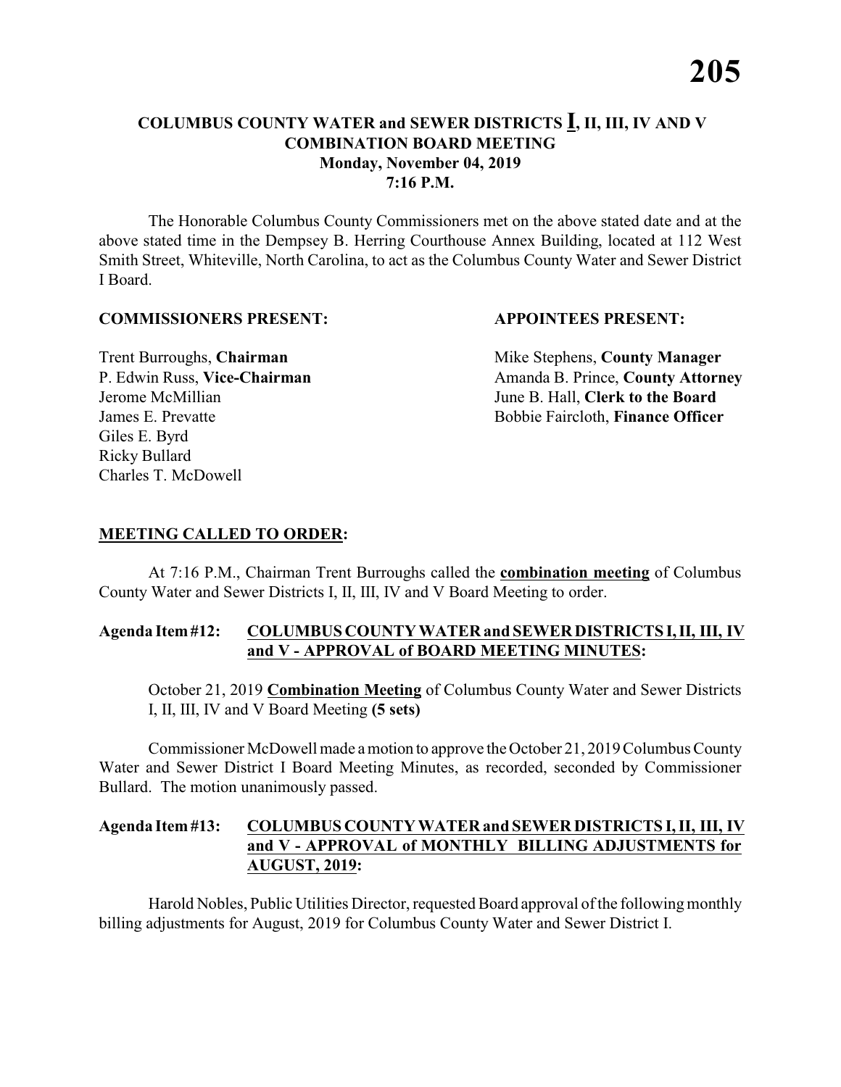### **COLUMBUS COUNTY WATER and SEWER DISTRICTS I, II, III, IV AND V COMBINATION BOARD MEETING Monday, November 04, 2019 7:16 P.M.**

The Honorable Columbus County Commissioners met on the above stated date and at the above stated time in the Dempsey B. Herring Courthouse Annex Building, located at 112 West Smith Street, Whiteville, North Carolina, to act as the Columbus County Water and Sewer District I Board.

#### **COMMISSIONERS PRESENT: APPOINTEES PRESENT:**

Giles E. Byrd Ricky Bullard Charles T. McDowell

**Trent Burroughs, Chairman** Mike Stephens, **County Manager** P. Edwin Russ, Vice-Chairman Amanda B. Prince, County Attorney Jerome McMillian June B. Hall, **Clerk to the Board** James E. Prevatte Bobbie Faircloth, **Finance Officer**

### **MEETING CALLED TO ORDER:**

At 7:16 P.M., Chairman Trent Burroughs called the **combination meeting** of Columbus County Water and Sewer Districts I, II, III, IV and V Board Meeting to order.

#### **Agenda Item #12: COLUMBUS COUNTY WATER and SEWER DISTRICTS I, II, III, IV and V - APPROVAL of BOARD MEETING MINUTES:**

October 21, 2019 **Combination Meeting** of Columbus County Water and Sewer Districts I, II, III, IV and V Board Meeting **(5 sets)**

Commissioner McDowell made a motion to approve the October 21, 2019 Columbus County Water and Sewer District I Board Meeting Minutes, as recorded, seconded by Commissioner Bullard. The motion unanimously passed.

# **Agenda Item #13: COLUMBUS COUNTY WATER and SEWER DISTRICTS I, II, III, IV and V - APPROVAL of MONTHLY BILLING ADJUSTMENTS for AUGUST, 2019:**

Harold Nobles, Public Utilities Director, requested Board approval ofthe following monthly billing adjustments for August, 2019 for Columbus County Water and Sewer District I.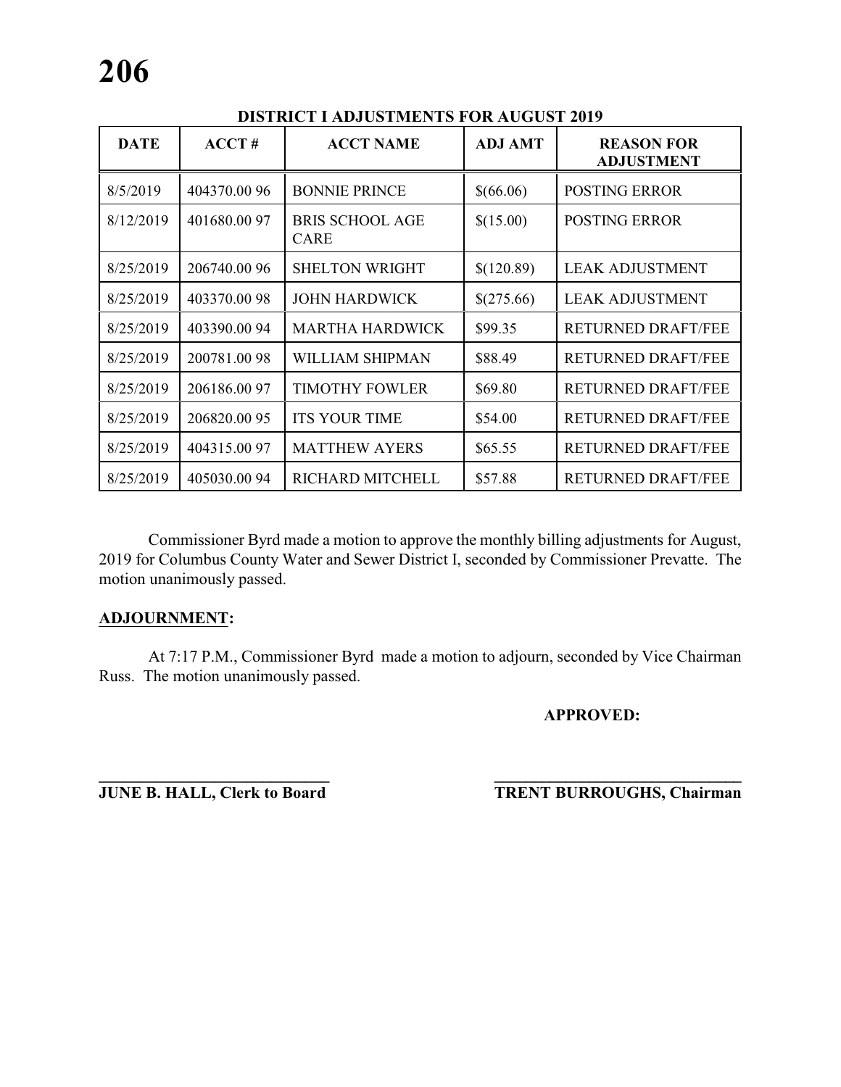| <b>DATE</b> | ACCT#        | <b>ACCT NAME</b>                      | <b>ADJ AMT</b> | <b>REASON FOR</b><br><b>ADJUSTMENT</b> |
|-------------|--------------|---------------------------------------|----------------|----------------------------------------|
| 8/5/2019    | 404370.00 96 | <b>BONNIE PRINCE</b>                  | \$(66.06)      | <b>POSTING ERROR</b>                   |
| 8/12/2019   | 401680.0097  | <b>BRIS SCHOOL AGE</b><br><b>CARE</b> | \$(15.00)      | <b>POSTING ERROR</b>                   |
| 8/25/2019   | 206740.00 96 | <b>SHELTON WRIGHT</b>                 | \$(120.89)     | <b>LEAK ADJUSTMENT</b>                 |
| 8/25/2019   | 403370.0098  | <b>JOHN HARDWICK</b>                  | \$(275.66)     | <b>LEAK ADJUSTMENT</b>                 |
| 8/25/2019   | 403390.0094  | <b>MARTHA HARDWICK</b>                | \$99.35        | <b>RETURNED DRAFT/FEE</b>              |
| 8/25/2019   | 200781.0098  | WILLIAM SHIPMAN                       | \$88.49        | <b>RETURNED DRAFT/FEE</b>              |
| 8/25/2019   | 206186.0097  | <b>TIMOTHY FOWLER</b>                 | \$69.80        | <b>RETURNED DRAFT/FEE</b>              |
| 8/25/2019   | 206820.0095  | <b>ITS YOUR TIME</b>                  | \$54.00        | <b>RETURNED DRAFT/FEE</b>              |
| 8/25/2019   | 404315.0097  | <b>MATTHEW AYERS</b>                  | \$65.55        | <b>RETURNED DRAFT/FEE</b>              |
| 8/25/2019   | 405030.0094  | RICHARD MITCHELL                      | \$57.88        | <b>RETURNED DRAFT/FEE</b>              |

# **DISTRICT I ADJUSTMENTS FOR AUGUST 2019**

Commissioner Byrd made a motion to approve the monthly billing adjustments for August, 2019 for Columbus County Water and Sewer District I, seconded by Commissioner Prevatte. The motion unanimously passed.

### **ADJOURNMENT:**

At 7:17 P.M., Commissioner Byrd made a motion to adjourn, seconded by Vice Chairman Russ. The motion unanimously passed.

### **APPROVED:**

**\_\_\_\_\_\_\_\_\_\_\_\_\_\_\_\_\_\_\_\_\_\_\_\_\_\_\_\_ \_\_\_\_\_\_\_\_\_\_\_\_\_\_\_\_\_\_\_\_\_\_\_\_\_\_\_\_\_\_\_ JUNE B. HALL, Clerk to Board TRENT BURROUGHS, Chairman**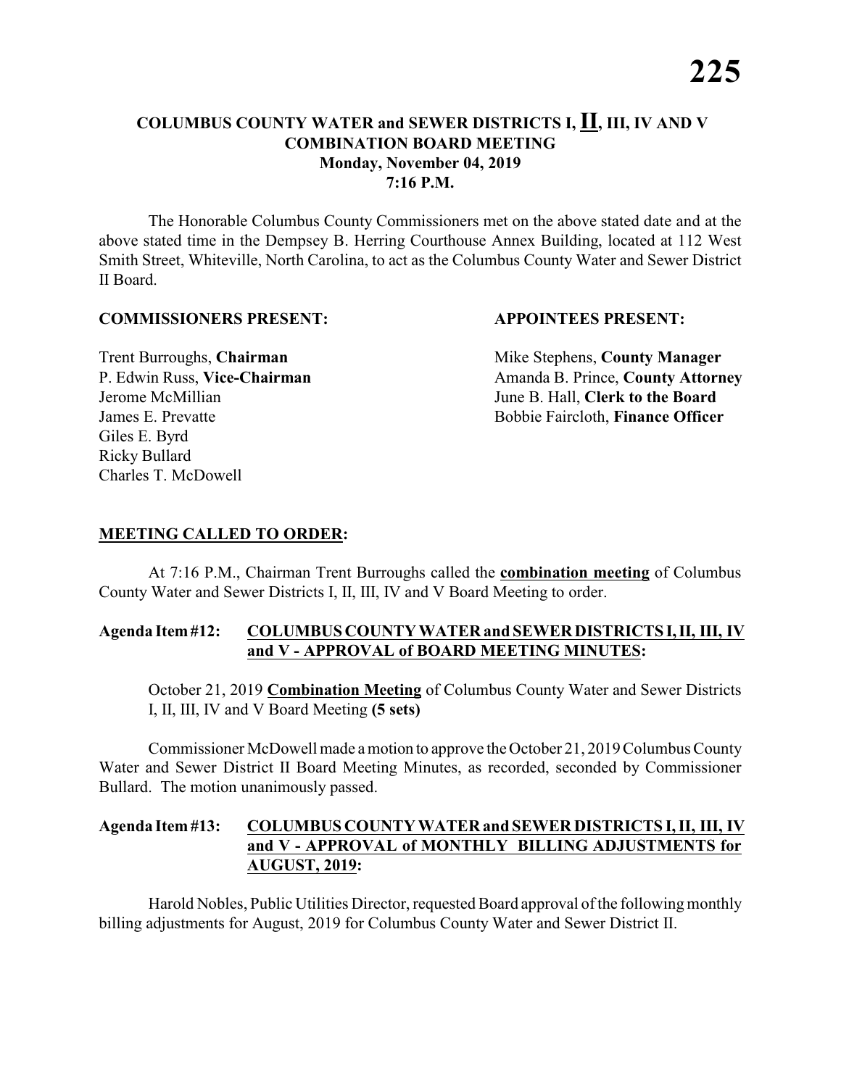#### **COLUMBUS COUNTY WATER and SEWER DISTRICTS I, II, III, IV AND V COMBINATION BOARD MEETING Monday, November 04, 2019 7:16 P.M.**

The Honorable Columbus County Commissioners met on the above stated date and at the above stated time in the Dempsey B. Herring Courthouse Annex Building, located at 112 West Smith Street, Whiteville, North Carolina, to act as the Columbus County Water and Sewer District II Board.

#### **COMMISSIONERS PRESENT: APPOINTEES PRESENT:**

Giles E. Byrd Ricky Bullard Charles T. McDowell

**Trent Burroughs, Chairman** Mike Stephens, **County Manager** P. Edwin Russ, Vice-Chairman Amanda B. Prince, County Attorney Jerome McMillian June B. Hall, **Clerk to the Board** James E. Prevatte Bobbie Faircloth, **Finance Officer**

### **MEETING CALLED TO ORDER:**

At 7:16 P.M., Chairman Trent Burroughs called the **combination meeting** of Columbus County Water and Sewer Districts I, II, III, IV and V Board Meeting to order.

#### **Agenda Item #12: COLUMBUS COUNTY WATER and SEWER DISTRICTS I, II, III, IV and V - APPROVAL of BOARD MEETING MINUTES:**

October 21, 2019 **Combination Meeting** of Columbus County Water and Sewer Districts I, II, III, IV and V Board Meeting **(5 sets)**

Commissioner McDowell made a motion to approve the October 21, 2019 Columbus County Water and Sewer District II Board Meeting Minutes, as recorded, seconded by Commissioner Bullard. The motion unanimously passed.

### **Agenda Item #13: COLUMBUS COUNTY WATER and SEWER DISTRICTS I, II, III, IV and V - APPROVAL of MONTHLY BILLING ADJUSTMENTS for AUGUST, 2019:**

Harold Nobles, Public Utilities Director, requested Board approval ofthe following monthly billing adjustments for August, 2019 for Columbus County Water and Sewer District II.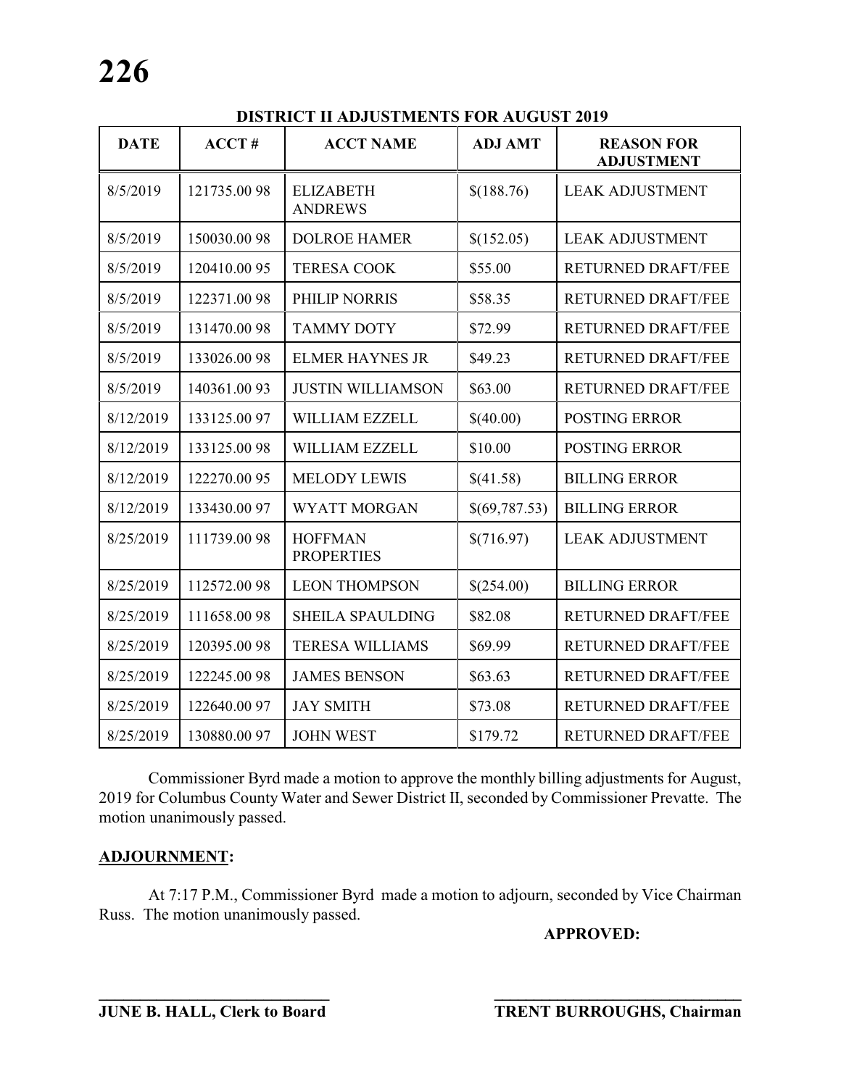**DISTRICT II ADJUSTMENTS FOR AUGUST 2019**

| <b>DATE</b> | ACCT#        | <b>ACCT NAME</b>                    | <b>ADJ AMT</b> | <b>REASON FOR</b><br><b>ADJUSTMENT</b> |
|-------------|--------------|-------------------------------------|----------------|----------------------------------------|
| 8/5/2019    | 121735.0098  | <b>ELIZABETH</b><br><b>ANDREWS</b>  | \$(188.76)     | <b>LEAK ADJUSTMENT</b>                 |
| 8/5/2019    | 150030.0098  | <b>DOLROE HAMER</b>                 | \$(152.05)     | <b>LEAK ADJUSTMENT</b>                 |
| 8/5/2019    | 120410.0095  | <b>TERESA COOK</b>                  | \$55.00        | <b>RETURNED DRAFT/FEE</b>              |
| 8/5/2019    | 122371.0098  | PHILIP NORRIS                       | \$58.35        | <b>RETURNED DRAFT/FEE</b>              |
| 8/5/2019    | 131470.0098  | <b>TAMMY DOTY</b>                   | \$72.99        | <b>RETURNED DRAFT/FEE</b>              |
| 8/5/2019    | 133026.0098  | <b>ELMER HAYNES JR</b>              | \$49.23        | <b>RETURNED DRAFT/FEE</b>              |
| 8/5/2019    | 140361.0093  | <b>JUSTIN WILLIAMSON</b>            | \$63.00        | <b>RETURNED DRAFT/FEE</b>              |
| 8/12/2019   | 133125.00 97 | <b>WILLIAM EZZELL</b>               | \$(40.00)      | <b>POSTING ERROR</b>                   |
| 8/12/2019   | 133125.0098  | <b>WILLIAM EZZELL</b>               | \$10.00        | <b>POSTING ERROR</b>                   |
| 8/12/2019   | 122270.00 95 | <b>MELODY LEWIS</b>                 | \$(41.58)      | <b>BILLING ERROR</b>                   |
| 8/12/2019   | 133430.00 97 | <b>WYATT MORGAN</b>                 | \$(69,787.53)  | <b>BILLING ERROR</b>                   |
| 8/25/2019   | 111739.0098  | <b>HOFFMAN</b><br><b>PROPERTIES</b> | \$(716.97)     | <b>LEAK ADJUSTMENT</b>                 |
| 8/25/2019   | 112572.0098  | <b>LEON THOMPSON</b>                | \$(254.00)     | <b>BILLING ERROR</b>                   |
| 8/25/2019   | 111658.0098  | <b>SHEILA SPAULDING</b>             | \$82.08        | <b>RETURNED DRAFT/FEE</b>              |
| 8/25/2019   | 120395.0098  | <b>TERESA WILLIAMS</b>              | \$69.99        | <b>RETURNED DRAFT/FEE</b>              |
| 8/25/2019   | 122245.0098  | <b>JAMES BENSON</b>                 | \$63.63        | <b>RETURNED DRAFT/FEE</b>              |
| 8/25/2019   | 122640.0097  | <b>JAY SMITH</b>                    | \$73.08        | <b>RETURNED DRAFT/FEE</b>              |
| 8/25/2019   | 130880.0097  | <b>JOHN WEST</b>                    | \$179.72       | <b>RETURNED DRAFT/FEE</b>              |

Commissioner Byrd made a motion to approve the monthly billing adjustments for August, 2019 for Columbus County Water and Sewer District II, seconded by Commissioner Prevatte. The motion unanimously passed.

# **ADJOURNMENT:**

At 7:17 P.M., Commissioner Byrd made a motion to adjourn, seconded by Vice Chairman Russ. The motion unanimously passed.

**APPROVED:**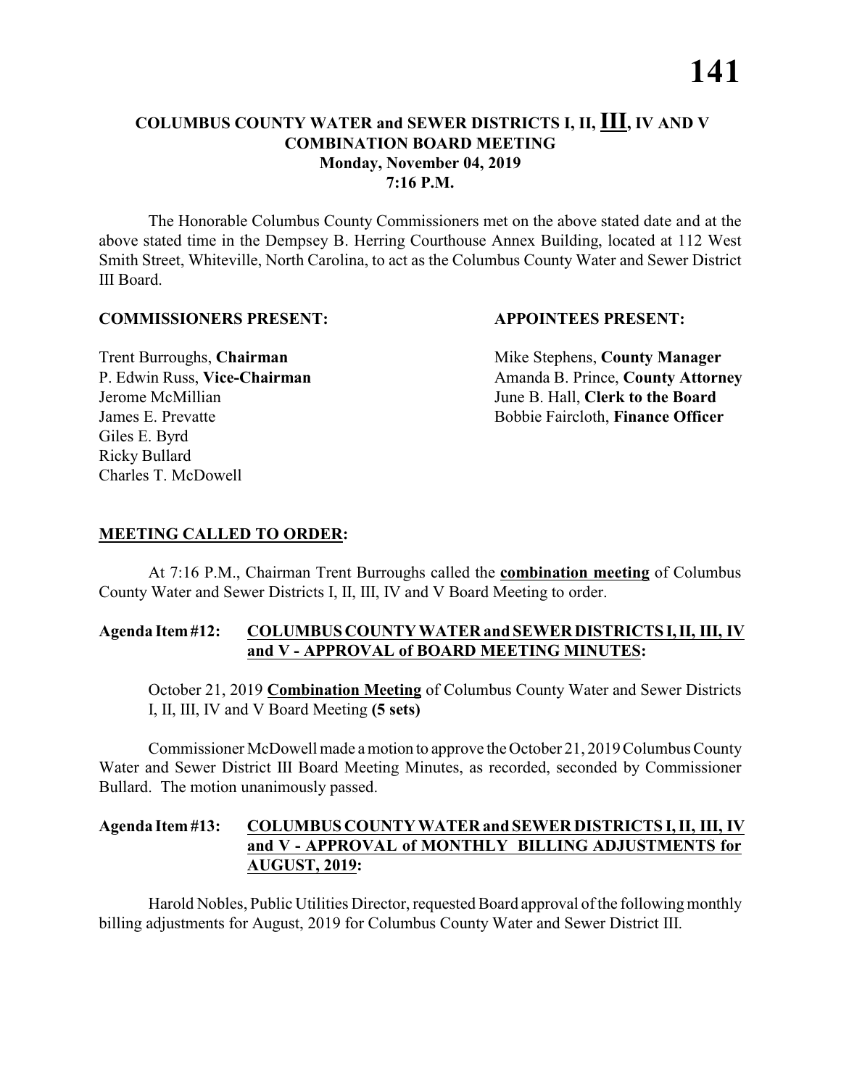### **COLUMBUS COUNTY WATER and SEWER DISTRICTS I, II, III, IV AND V COMBINATION BOARD MEETING Monday, November 04, 2019 7:16 P.M.**

The Honorable Columbus County Commissioners met on the above stated date and at the above stated time in the Dempsey B. Herring Courthouse Annex Building, located at 112 West Smith Street, Whiteville, North Carolina, to act as the Columbus County Water and Sewer District III Board.

#### **COMMISSIONERS PRESENT: APPOINTEES PRESENT:**

Giles E. Byrd Ricky Bullard Charles T. McDowell

**Trent Burroughs, Chairman** Mike Stephens, **County Manager** P. Edwin Russ, Vice-Chairman Amanda B. Prince, County Attorney Jerome McMillian June B. Hall, **Clerk to the Board** James E. Prevatte Bobbie Faircloth, **Finance Officer**

### **MEETING CALLED TO ORDER:**

At 7:16 P.M., Chairman Trent Burroughs called the **combination meeting** of Columbus County Water and Sewer Districts I, II, III, IV and V Board Meeting to order.

#### **Agenda Item #12: COLUMBUS COUNTY WATER and SEWER DISTRICTS I, II, III, IV and V - APPROVAL of BOARD MEETING MINUTES:**

October 21, 2019 **Combination Meeting** of Columbus County Water and Sewer Districts I, II, III, IV and V Board Meeting **(5 sets)**

Commissioner McDowell made a motion to approve the October 21, 2019 Columbus County Water and Sewer District III Board Meeting Minutes, as recorded, seconded by Commissioner Bullard. The motion unanimously passed.

### **Agenda Item #13: COLUMBUS COUNTY WATER and SEWER DISTRICTS I, II, III, IV and V - APPROVAL of MONTHLY BILLING ADJUSTMENTS for AUGUST, 2019:**

Harold Nobles, Public Utilities Director, requested Board approval ofthe following monthly billing adjustments for August, 2019 for Columbus County Water and Sewer District III.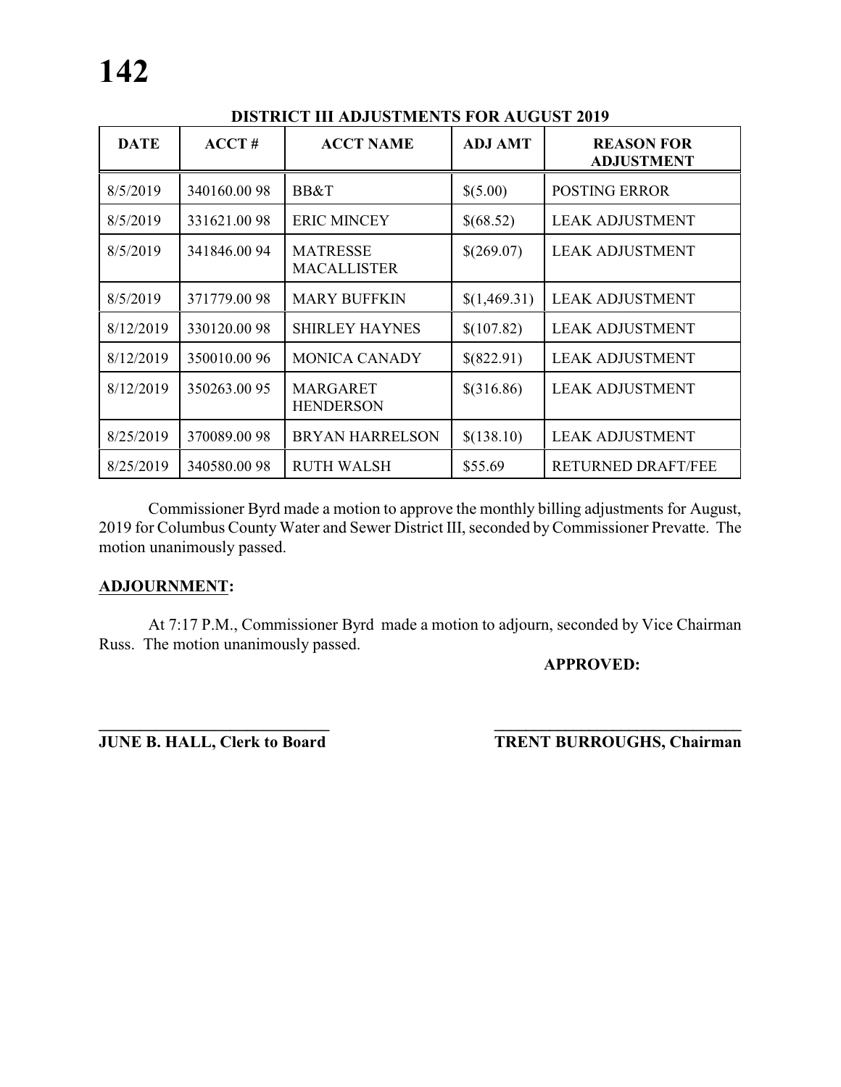| <b>DATE</b> | ACCT#       | <b>ACCT NAME</b>                      | <b>ADJ AMT</b> | <b>REASON FOR</b><br><b>ADJUSTMENT</b> |
|-------------|-------------|---------------------------------------|----------------|----------------------------------------|
| 8/5/2019    | 340160.0098 | BB&T                                  | \$(5.00)       | <b>POSTING ERROR</b>                   |
| 8/5/2019    | 331621.0098 | <b>ERIC MINCEY</b>                    | \$(68.52)      | <b>LEAK ADJUSTMENT</b>                 |
| 8/5/2019    | 341846.0094 | <b>MATRESSE</b><br><b>MACALLISTER</b> | \$(269.07)     | <b>LEAK ADJUSTMENT</b>                 |
| 8/5/2019    | 371779.0098 | <b>MARY BUFFKIN</b>                   | \$(1,469.31)   | <b>LEAK ADJUSTMENT</b>                 |
| 8/12/2019   | 330120.0098 | <b>SHIRLEY HAYNES</b>                 | \$(107.82)     | <b>LEAK ADJUSTMENT</b>                 |
| 8/12/2019   | 350010.0096 | <b>MONICA CANADY</b>                  | \$(822.91)     | <b>LEAK ADJUSTMENT</b>                 |
| 8/12/2019   | 350263.0095 | <b>MARGARET</b><br><b>HENDERSON</b>   | \$(316.86)     | <b>LEAK ADJUSTMENT</b>                 |
| 8/25/2019   | 370089.0098 | <b>BRYAN HARRELSON</b>                | \$(138.10)     | <b>LEAK ADJUSTMENT</b>                 |
| 8/25/2019   | 340580.0098 | <b>RUTH WALSH</b>                     | \$55.69        | RETURNED DRAFT/FEE                     |

## **DISTRICT III ADJUSTMENTS FOR AUGUST 2019**

Commissioner Byrd made a motion to approve the monthly billing adjustments for August, 2019 for Columbus County Water and Sewer District III, seconded by Commissioner Prevatte. The motion unanimously passed.

#### **ADJOURNMENT:**

At 7:17 P.M., Commissioner Byrd made a motion to adjourn, seconded by Vice Chairman Russ. The motion unanimously passed.

### **APPROVED:**

**\_\_\_\_\_\_\_\_\_\_\_\_\_\_\_\_\_\_\_\_\_\_\_\_\_\_\_\_ \_\_\_\_\_\_\_\_\_\_\_\_\_\_\_\_\_\_\_\_\_\_\_\_\_\_\_\_\_\_\_ JUNE B. HALL, Clerk to Board TRENT BURROUGHS, Chairman**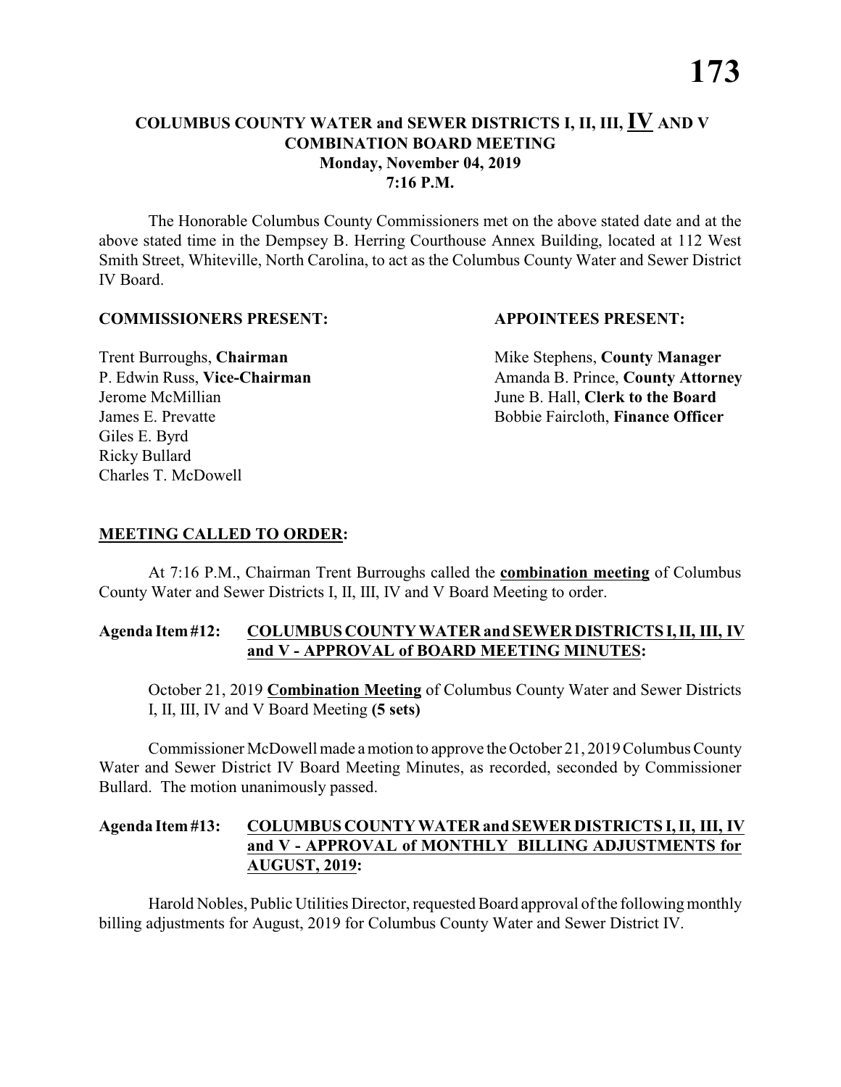### **COLUMBUS COUNTY WATER and SEWER DISTRICTS I, II, III, IV AND V COMBINATION BOARD MEETING Monday, November 04, 2019 7:16 P.M.**

The Honorable Columbus County Commissioners met on the above stated date and at the above stated time in the Dempsey B. Herring Courthouse Annex Building, located at 112 West Smith Street, Whiteville, North Carolina, to act as the Columbus County Water and Sewer District IV Board.

#### **COMMISSIONERS PRESENT: APPOINTEES PRESENT:**

Giles E. Byrd Ricky Bullard Charles T. McDowell

**Trent Burroughs, Chairman** Mike Stephens, **County Manager** P. Edwin Russ, Vice-Chairman Amanda B. Prince, County Attorney Jerome McMillian June B. Hall, **Clerk to the Board** James E. Prevatte Bobbie Faircloth, **Finance Officer**

### **MEETING CALLED TO ORDER:**

At 7:16 P.M., Chairman Trent Burroughs called the **combination meeting** of Columbus County Water and Sewer Districts I, II, III, IV and V Board Meeting to order.

#### **Agenda Item #12: COLUMBUS COUNTY WATER and SEWER DISTRICTS I, II, III, IV and V - APPROVAL of BOARD MEETING MINUTES:**

October 21, 2019 **Combination Meeting** of Columbus County Water and Sewer Districts I, II, III, IV and V Board Meeting **(5 sets)**

Commissioner McDowell made a motion to approve the October 21, 2019 Columbus County Water and Sewer District IV Board Meeting Minutes, as recorded, seconded by Commissioner Bullard. The motion unanimously passed.

### **Agenda Item #13: COLUMBUS COUNTY WATER and SEWER DISTRICTS I, II, III, IV and V - APPROVAL of MONTHLY BILLING ADJUSTMENTS for AUGUST, 2019:**

Harold Nobles, Public Utilities Director, requested Board approval ofthe following monthly billing adjustments for August, 2019 for Columbus County Water and Sewer District IV.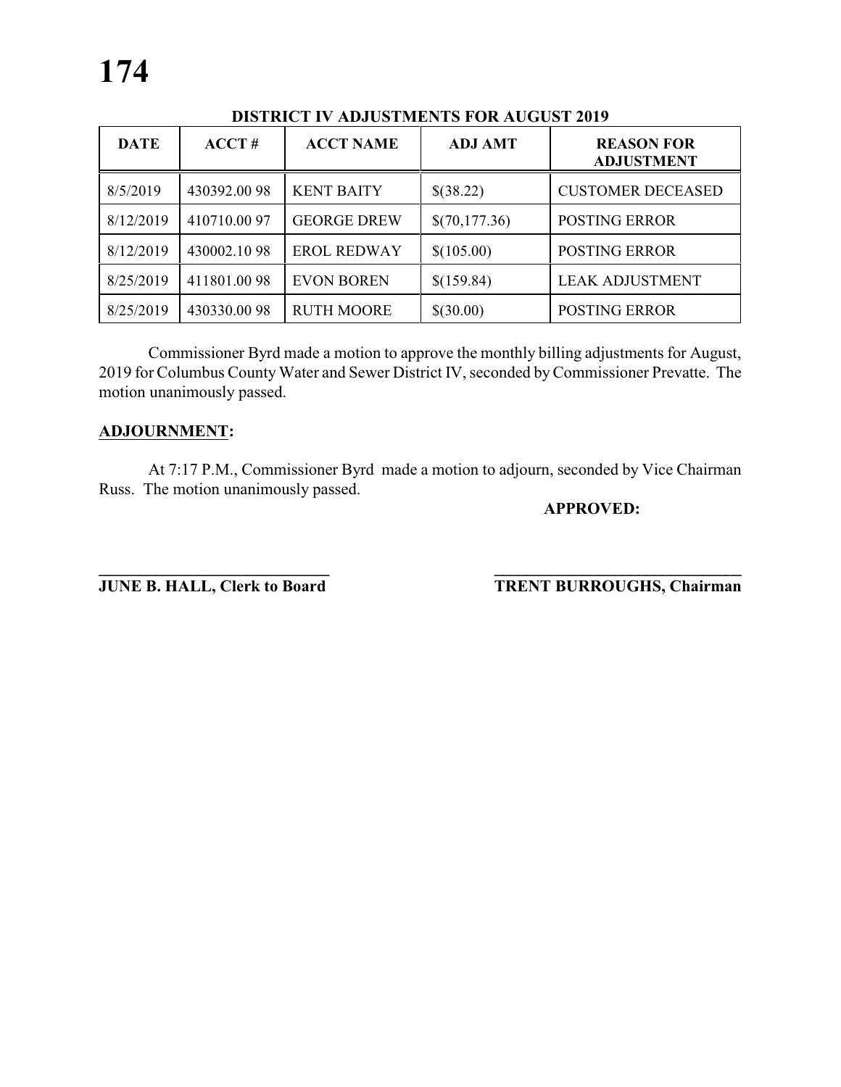| <b>DATE</b> | ACCT#       | <b>ACCT NAME</b>   | <b>ADJ AMT</b> | <b>REASON FOR</b><br><b>ADJUSTMENT</b> |
|-------------|-------------|--------------------|----------------|----------------------------------------|
| 8/5/2019    | 430392.0098 | <b>KENT BAITY</b>  | \$(38.22)      | <b>CUSTOMER DECEASED</b>               |
| 8/12/2019   | 410710.0097 | <b>GEORGE DREW</b> | \$(70,177.36)  | <b>POSTING ERROR</b>                   |
| 8/12/2019   | 430002.1098 | <b>EROL REDWAY</b> | \$(105.00)     | <b>POSTING ERROR</b>                   |
| 8/25/2019   | 411801.0098 | <b>EVON BOREN</b>  | \$(159.84)     | <b>LEAK ADJUSTMENT</b>                 |
| 8/25/2019   | 430330.0098 | <b>RUTH MOORE</b>  | \$(30.00)      | <b>POSTING ERROR</b>                   |

# **DISTRICT IV ADJUSTMENTS FOR AUGUST 2019**

Commissioner Byrd made a motion to approve the monthly billing adjustments for August, 2019 for Columbus County Water and Sewer District IV, seconded by Commissioner Prevatte. The motion unanimously passed.

#### **ADJOURNMENT:**

At 7:17 P.M., Commissioner Byrd made a motion to adjourn, seconded by Vice Chairman Russ. The motion unanimously passed.

#### **APPROVED:**

**\_\_\_\_\_\_\_\_\_\_\_\_\_\_\_\_\_\_\_\_\_\_\_\_\_\_\_\_ \_\_\_\_\_\_\_\_\_\_\_\_\_\_\_\_\_\_\_\_\_\_\_\_\_\_\_\_\_\_\_ JUNE B. HALL, Clerk to Board TRENT BURROUGHS, Chairman**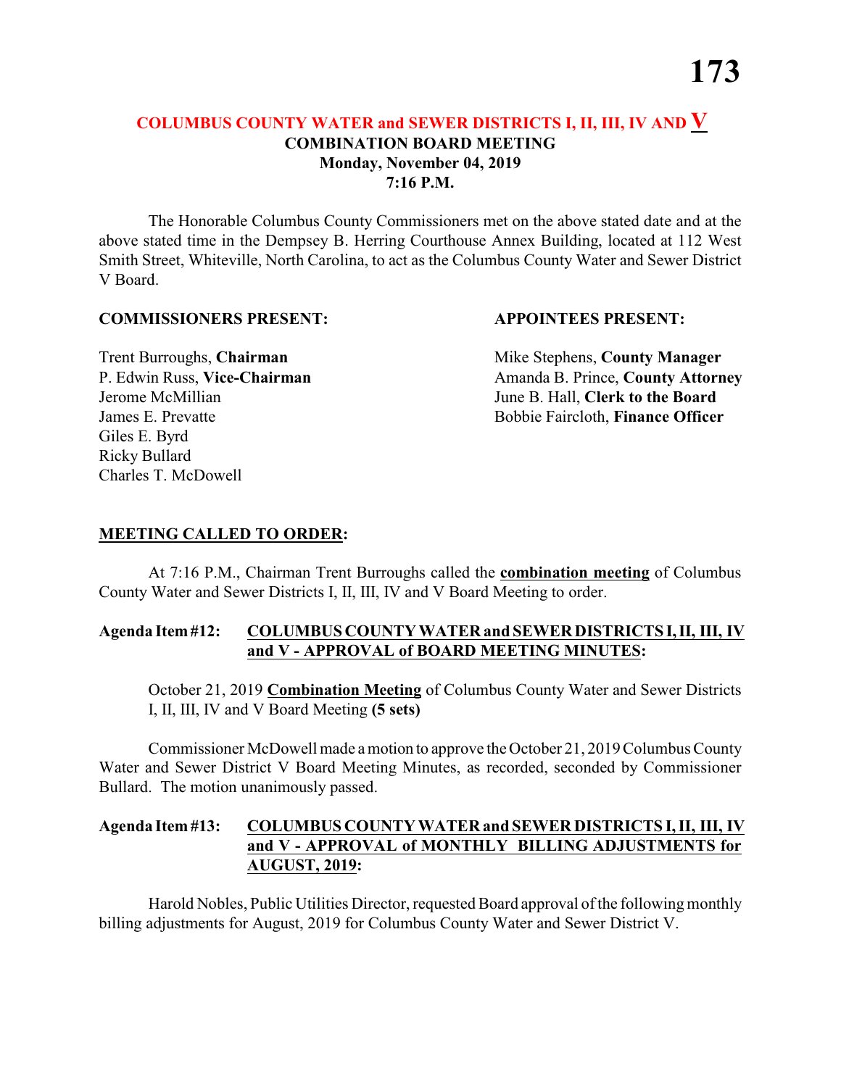### **COLUMBUS COUNTY WATER and SEWER DISTRICTS I, II, III, IV AND V COMBINATION BOARD MEETING Monday, November 04, 2019 7:16 P.M.**

The Honorable Columbus County Commissioners met on the above stated date and at the above stated time in the Dempsey B. Herring Courthouse Annex Building, located at 112 West Smith Street, Whiteville, North Carolina, to act as the Columbus County Water and Sewer District V Board.

#### **COMMISSIONERS PRESENT: APPOINTEES PRESENT:**

Giles E. Byrd Ricky Bullard Charles T. McDowell

**Trent Burroughs, Chairman** Mike Stephens, **County Manager** P. Edwin Russ, Vice-Chairman Amanda B. Prince, County Attorney Jerome McMillian June B. Hall, **Clerk to the Board** James E. Prevatte Bobbie Faircloth, **Finance Officer**

### **MEETING CALLED TO ORDER:**

At 7:16 P.M., Chairman Trent Burroughs called the **combination meeting** of Columbus County Water and Sewer Districts I, II, III, IV and V Board Meeting to order.

#### **Agenda Item #12: COLUMBUS COUNTY WATER and SEWER DISTRICTS I, II, III, IV and V - APPROVAL of BOARD MEETING MINUTES:**

October 21, 2019 **Combination Meeting** of Columbus County Water and Sewer Districts I, II, III, IV and V Board Meeting **(5 sets)**

Commissioner McDowell made a motion to approve the October 21, 2019 Columbus County Water and Sewer District V Board Meeting Minutes, as recorded, seconded by Commissioner Bullard. The motion unanimously passed.

### **Agenda Item #13: COLUMBUS COUNTY WATER and SEWER DISTRICTS I, II, III, IV and V - APPROVAL of MONTHLY BILLING ADJUSTMENTS for AUGUST, 2019:**

Harold Nobles, Public Utilities Director, requested Board approval ofthe following monthly billing adjustments for August, 2019 for Columbus County Water and Sewer District V.